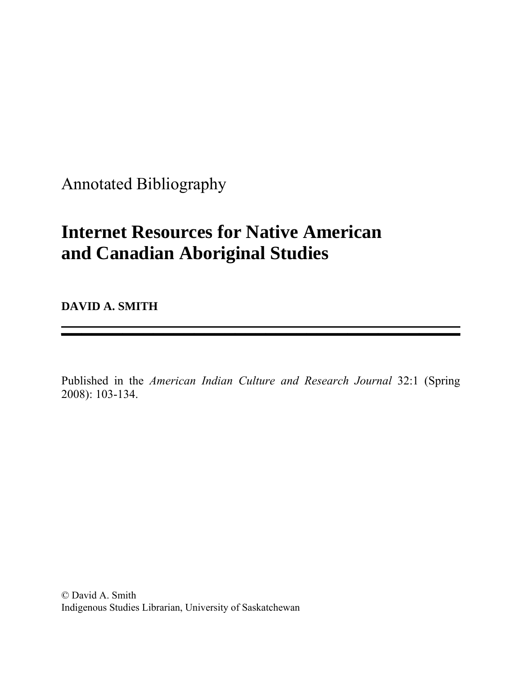Annotated Bibliography

# **Internet Resources for Native American and Canadian Aboriginal Studies**

**DAVID A. SMITH** 

Published in the *American Indian Culture and Research Journal* 32:1 (Spring 2008): 103-134.

**\_\_\_\_\_\_\_\_\_\_\_\_\_\_\_\_\_\_\_\_\_\_\_\_\_\_\_\_\_\_\_\_\_\_\_\_\_\_\_**

© David A. Smith Indigenous Studies Librarian, University of Saskatchewan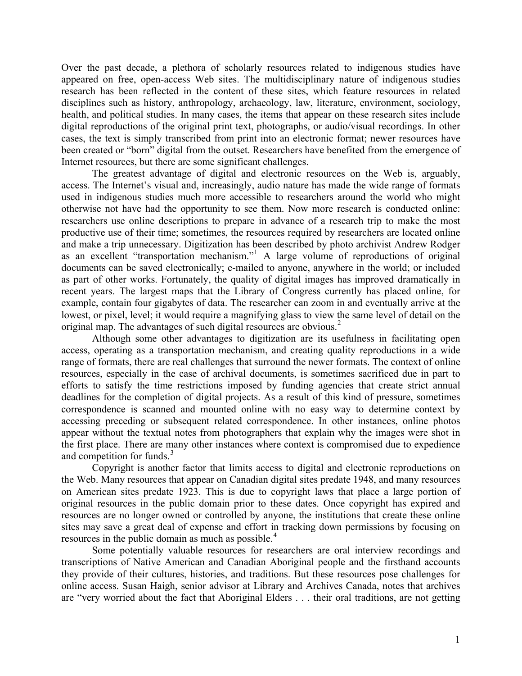Over the past decade, a plethora of scholarly resources related to indigenous studies have appeared on free, open-access Web sites. The multidisciplinary nature of indigenous studies research has been reflected in the content of these sites, which feature resources in related disciplines such as history, anthropology, archaeology, law, literature, environment, sociology, health, and political studies. In many cases, the items that appear on these research sites include digital reproductions of the original print text, photographs, or audio/visual recordings. In other cases, the text is simply transcribed from print into an electronic format; newer resources have been created or "born" digital from the outset. Researchers have benefited from the emergence of Internet resources, but there are some significant challenges.

The greatest advantage of digital and electronic resources on the Web is, arguably, access. The Internet's visual and, increasingly, audio nature has made the wide range of formats used in indigenous studies much more accessible to researchers around the world who might otherwise not have had the opportunity to see them. Now more research is conducted online: researchers use online descriptions to prepare in advance of a research trip to make the most productive use of their time; sometimes, the resources required by researchers are located online and make a trip unnecessary. Digitization has been described by photo archivist Andrew Rodger as an excellent "transportation mechanism."<sup>[1](#page-29-0)</sup> A large volume of reproductions of original documents can be saved electronically; e-mailed to anyone, anywhere in the world; or included as part of other works. Fortunately, the quality of digital images has improved dramatically in recent years. The largest maps that the Library of Congress currently has placed online, for example, contain four gigabytes of data. The researcher can zoom in and eventually arrive at the lowest, or pixel, level; it would require a magnifying glass to view the same level of detail on the original map. The advantages of such digital resources are obvious.<sup>[2](#page-29-1)</sup>

Although some other advantages to digitization are its usefulness in facilitating open access, operating as a transportation mechanism, and creating quality reproductions in a wide range of formats, there are real challenges that surround the newer formats. The context of online resources, especially in the case of archival documents, is sometimes sacrificed due in part to efforts to satisfy the time restrictions imposed by funding agencies that create strict annual deadlines for the completion of digital projects. As a result of this kind of pressure, sometimes correspondence is scanned and mounted online with no easy way to determine context by accessing preceding or subsequent related correspondence. In other instances, online photos appear without the textual notes from photographers that explain why the images were shot in the first place. There are many other instances where context is compromised due to expedience and competition for funds. $3$ 

Copyright is another factor that limits access to digital and electronic reproductions on the Web. Many resources that appear on Canadian digital sites predate 1948, and many resources on American sites predate 1923. This is due to copyright laws that place a large portion of original resources in the public domain prior to these dates. Once copyright has expired and resources are no longer owned or controlled by anyone, the institutions that create these online sites may save a great deal of expense and effort in tracking down permissions by focusing on resources in the public domain as much as possible.<sup>[4](#page-29-1)</sup>

Some potentially valuable resources for researchers are oral interview recordings and transcriptions of Native American and Canadian Aboriginal people and the firsthand accounts they provide of their cultures, histories, and traditions. But these resources pose challenges for online access. Susan Haigh, senior advisor at Library and Archives Canada, notes that archives are "very worried about the fact that Aboriginal Elders . . . their oral traditions, are not getting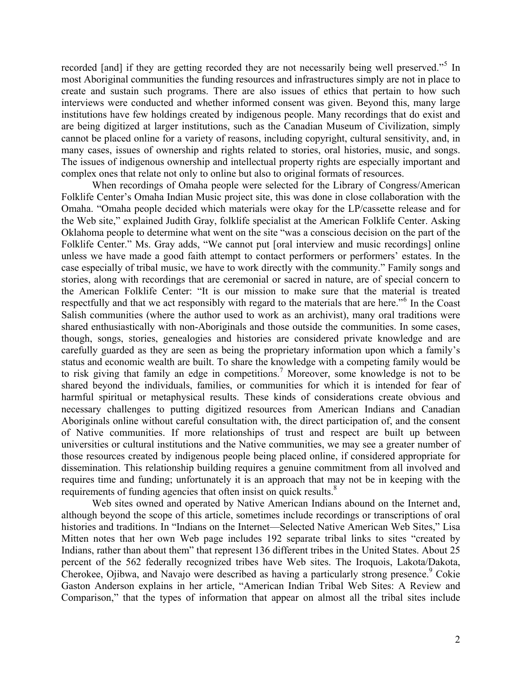recorded [and] if they are getting recorded they are not necessarily being well preserved."<sup>[5](#page-29-1)</sup> In most Aboriginal communities the funding resources and infrastructures simply are not in place to create and sustain such programs. There are also issues of ethics that pertain to how such interviews were conducted and whether informed consent was given. Beyond this, many large institutions have few holdings created by indigenous people. Many recordings that do exist and are being digitized at larger institutions, such as the Canadian Museum of Civilization, simply cannot be placed online for a variety of reasons, including copyright, cultural sensitivity, and, in many cases, issues of ownership and rights related to stories, oral histories, music, and songs. The issues of indigenous ownership and intellectual property rights are especially important and complex ones that relate not only to online but also to original formats of resources.

When recordings of Omaha people were selected for the Library of Congress/American Folklife Center's Omaha Indian Music project site, this was done in close collaboration with the Omaha. "Omaha people decided which materials were okay for the LP/cassette release and for the Web site," explained Judith Gray, folklife specialist at the American Folklife Center. Asking Oklahoma people to determine what went on the site "was a conscious decision on the part of the Folklife Center." Ms. Gray adds, "We cannot put [oral interview and music recordings] online unless we have made a good faith attempt to contact performers or performers' estates. In the case especially of tribal music, we have to work directly with the community." Family songs and stories, along with recordings that are ceremonial or sacred in nature, are of special concern to the American Folklife Center: "It is our mission to make sure that the material is treated respectfully and that we act responsibly with regard to the materials that are here."<sup>[6](#page-29-1)</sup> In the Coast Salish communities (where the author used to work as an archivist), many oral traditions were shared enthusiastically with non-Aboriginals and those outside the communities. In some cases, though, songs, stories, genealogies and histories are considered private knowledge and are carefully guarded as they are seen as being the proprietary information upon which a family's status and economic wealth are built. To share the knowledge with a competing family would be to risk giving that family an edge in competitions.<sup>7</sup> Moreover, some knowledge is not to be shared beyond the individuals, families, or communities for which it is intended for fear of harmful spiritual or metaphysical results. These kinds of considerations create obvious and necessary challenges to putting digitized resources from American Indians and Canadian Aboriginals online without careful consultation with, the direct participation of, and the consent of Native communities. If more relationships of trust and respect are built up between universities or cultural institutions and the Native communities, we may see a greater number of those resources created by indigenous people being placed online, if considered appropriate for dissemination. This relationship building requires a genuine commitment from all involved and requires time and funding; unfortunately it is an approach that may not be in keeping with the requirements of funding agencies that often insist on quick results.<sup>8</sup>

Web sites owned and operated by Native American Indians abound on the Internet and, although beyond the scope of this article, sometimes include recordings or transcriptions of oral histories and traditions. In "Indians on the Internet—Selected Native American Web Sites," Lisa Mitten notes that her own Web page includes 192 separate tribal links to sites "created by Indians, rather than about them" that represent 136 different tribes in the United States. About 25 percent of the 562 federally recognized tribes have Web sites. The Iroquois, Lakota/Dakota, Cherokee, Ojibwa, and Navajo were described as having a particularly strong presence.<sup>9</sup> Cokie Gaston Anderson explains in her article, "American Indian Tribal Web Sites: A Review and Comparison," that the types of information that appear on almost all the tribal sites include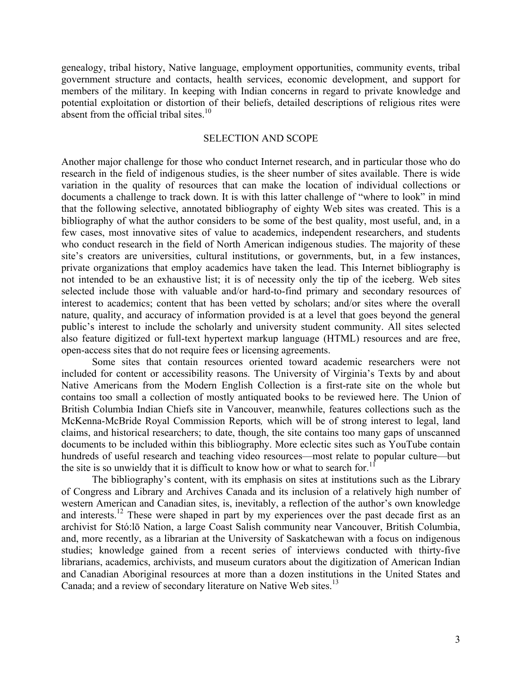genealogy, tribal history, Native language, employment opportunities, community events, tribal government structure and contacts, health services, economic development, and support for members of the military. In keeping with Indian concerns in regard to private knowledge and potential exploitation or distortion of their beliefs, detailed descriptions of religious rites were absent from the official tribal sites.<sup>10</sup>

#### SELECTION AND SCOPE

Another major challenge for those who conduct Internet research, and in particular those who do research in the field of indigenous studies, is the sheer number of sites available. There is wide variation in the quality of resources that can make the location of individual collections or documents a challenge to track down. It is with this latter challenge of "where to look" in mind that the following selective, annotated bibliography of eighty Web sites was created. This is a bibliography of what the author considers to be some of the best quality, most useful, and, in a few cases, most innovative sites of value to academics, independent researchers, and students who conduct research in the field of North American indigenous studies. The majority of these site's creators are universities, cultural institutions, or governments, but, in a few instances, private organizations that employ academics have taken the lead. This Internet bibliography is not intended to be an exhaustive list; it is of necessity only the tip of the iceberg. Web sites selected include those with valuable and/or hard-to-find primary and secondary resources of interest to academics; content that has been vetted by scholars; and/or sites where the overall nature, quality, and accuracy of information provided is at a level that goes beyond the general public's interest to include the scholarly and university student community. All sites selected also feature digitized or full-text hypertext markup language (HTML) resources and are free, open-access sites that do not require fees or licensing agreements.

Some sites that contain resources oriented toward academic researchers were not included for content or accessibility reasons. The University of Virginia's Texts by and about Native Americans from the Modern English Collection is a first-rate site on the whole but contains too small a collection of mostly antiquated books to be reviewed here. The Union of British Columbia Indian Chiefs site in Vancouver, meanwhile, features collections such as the McKenna-McBride Royal Commission Reports*,* which will be of strong interest to legal, land claims, and historical researchers; to date, though, the site contains too many gaps of unscanned documents to be included within this bibliography. More eclectic sites such as YouTube contain hundreds of useful research and teaching video resources—most relate to popular culture—but the site is so unwieldy that it is difficult to know how or what to search for.<sup>1</sup>

The bibliography's content, with its emphasis on sites at institutions such as the Library of Congress and Library and Archives Canada and its inclusion of a relatively high number of western American and Canadian sites, is, inevitably, a reflection of the author's own knowledge and interests.<sup>12</sup> These were shaped in part by my experiences over the past decade first as an archivist for Stó:lō Nation, a large Coast Salish community near Vancouver, British Columbia, and, more recently, as a librarian at the University of Saskatchewan with a focus on indigenous studies; knowledge gained from a recent series of interviews conducted with thirty-five librarians, academics, archivists, and museum curators about the digitization of American Indian and Canadian Aboriginal resources at more than a dozen institutions in the United States and Canada; and a review of secondary literature on Native Web sites.<sup>13</sup>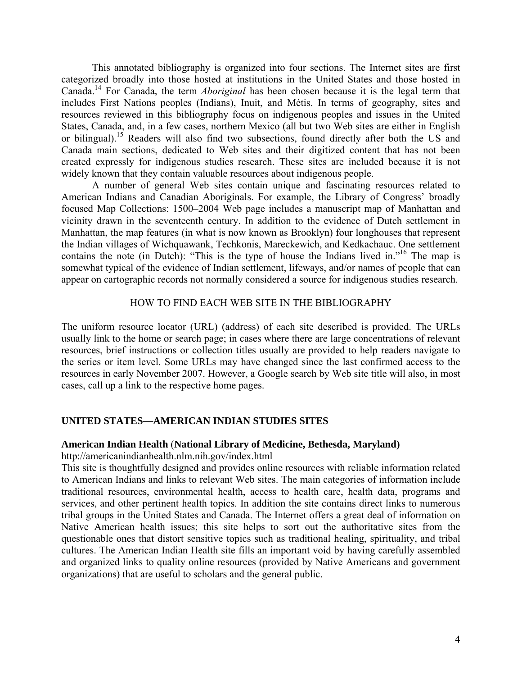This annotated bibliography is organized into four sections. The Internet sites are first categorized broadly into those hosted at institutions in the United States and those hosted in Canada.14 For Canada, the term *Aboriginal* has been chosen because it is the legal term that includes First Nations peoples (Indians), Inuit, and Métis. In terms of geography, sites and resources reviewed in this bibliography focus on indigenous peoples and issues in the United States, Canada, and, in a few cases, northern Mexico (all but two Web sites are either in English or bilingual).<sup>15</sup> Readers will also find two subsections, found directly after both the US and Canada main sections, dedicated to Web sites and their digitized content that has not been created expressly for indigenous studies research. These sites are included because it is not widely known that they contain valuable resources about indigenous people.

A number of general Web sites contain unique and fascinating resources related to American Indians and Canadian Aboriginals. For example, the Library of Congress' broadly focused Map Collections: 1500–2004 Web page includes a manuscript map of Manhattan and vicinity drawn in the seventeenth century. In addition to the evidence of Dutch settlement in Manhattan, the map features (in what is now known as Brooklyn) four longhouses that represent the Indian villages of Wichquawank, Techkonis, Mareckewich, and Kedkachauc. One settlement contains the note (in Dutch): "This is the type of house the Indians lived in."16 The map is somewhat typical of the evidence of Indian settlement, lifeways, and/or names of people that can appear on cartographic records not normally considered a source for indigenous studies research.

#### HOW TO FIND EACH WEB SITE IN THE BIBLIOGRAPHY

The uniform resource locator (URL) (address) of each site described is provided. The URLs usually link to the home or search page; in cases where there are large concentrations of relevant resources, brief instructions or collection titles usually are provided to help readers navigate to the series or item level. Some URLs may have changed since the last confirmed access to the resources in early November 2007. However, a Google search by Web site title will also, in most cases, call up a link to the respective home pages.

#### **UNITED STATES—AMERICAN INDIAN STUDIES SITES**

#### **[American Indian Health](http://americanindianhealth.nlm.nih.gov/index.html)** (**National Library of Medicine, Bethesda, Maryland)**

<http://americanindianhealth.nlm.nih.gov/index.html>

This site is thoughtfully designed and provides online resources with reliable information related to American Indians and links to relevant Web sites. The main categories of information include traditional resources, environmental health, access to health care, health data, programs and services, and other pertinent health topics. In addition the site contains direct links to numerous tribal groups in the United States and Canada. The Internet offers a great deal of information on Native American health issues; this site helps to sort out the authoritative sites from the questionable ones that distort sensitive topics such as traditional healing, spirituality, and tribal cultures. The American Indian Health site fills an important void by having carefully assembled and organized links to quality online resources (provided by Native Americans and government organizations) that are useful to scholars and the general public.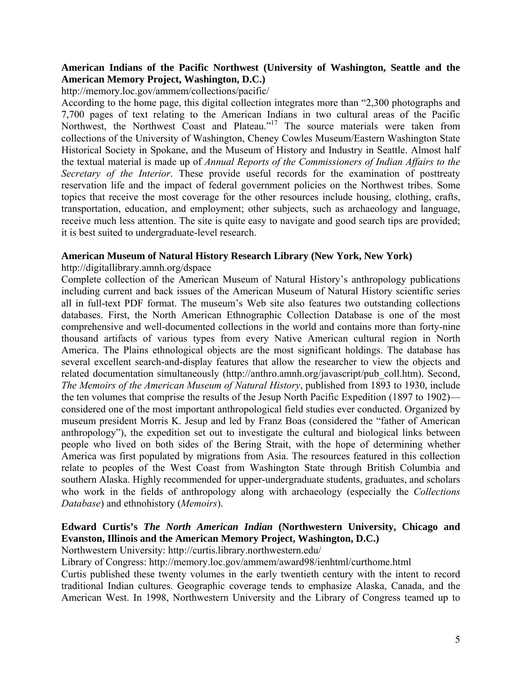#### **[American Indians of the Pacific Northwest](http://memory.loc.gov/ammem/award98/wauhtml/aipnhome.html) (University of Washington, Seattle and the American Memory Project, Washington, D.C.)**

<http://memory.loc.gov/ammem/collections/pacific/>

According to the home page, this digital collection integrates more than "2,300 photographs and 7,700 pages of text relating to the American Indians in two cultural areas of the Pacific Northwest, the Northwest Coast and Plateau."<sup>17</sup> The source materials were taken from collections of the University of Washington, Cheney Cowles Museum/Eastern Washington State Historical Society in Spokane, and the Museum of History and Industry in Seattle. Almost half the textual material is made up of *Annual Reports of the Commissioners of Indian Affairs to the Secretary of the Interior*. These provide useful records for the examination of posttreaty reservation life and the impact of federal government policies on the Northwest tribes. Some topics that receive the most coverage for the other resources include housing, clothing, crafts, transportation, education, and employment; other subjects, such as archaeology and language, receive much less attention. The site is quite easy to navigate and good search tips are provided; it is best suited to undergraduate-level research.

#### **[American Museum of Natural History Research Library](http://digitallibrary.amnh.org/dspace/) (New York, New York)**

#### http://digitallibrary.amnh.org/dspace

Complete collection of the American Museum of Natural History's anthropology publications including current and back issues of the American Museum of Natural History scientific series all in full-text PDF format. The museum's Web site also features two outstanding collections databases. First, the North American Ethnographic Collection Database is one of the most comprehensive and well-documented collections in the world and contains more than forty-nine thousand artifacts of various types from every Native American cultural region in North America. The Plains ethnological objects are the most significant holdings. The database has several excellent search-and-display features that allow the researcher to view the objects and related documentation simultaneously [\(http://anthro.amnh.org/javascript/pub\\_coll.htm](http://anthro.amnh.org/javascript/pub_coll.htm)). Second, *The Memoirs of the American Museum of Natural History*, published from 1893 to 1930, include the ten volumes that comprise the results of the Jesup North Pacific Expedition (1897 to 1902) considered one of the most important anthropological field studies ever conducted. Organized by museum president Morris K. Jesup and led by Franz Boas (considered the "father of American anthropology"), the expedition set out to investigate the cultural and biological links between people who lived on both sides of the Bering Strait, with the hope of determining whether America was first populated by migrations from Asia. The resources featured in this collection relate to peoples of the West Coast from Washington State through British Columbia and southern Alaska. Highly recommended for upper-undergraduate students, graduates, and scholars who work in the fields of anthropology along with archaeology (especially the *Collections Database*) and ethnohistory (*Memoirs*).

# **Edward Curtis's** *[The North American Indian](http://curtis.library.northwestern.edu/)* **(Northwestern University, Chicago and Evanston, Illinois and the American Memory Project, Washington, D.C.)**

Northwestern University: <http://curtis.library.northwestern.edu/>

Library of Congress:<http://memory.loc.gov/ammem/award98/ienhtml/curthome.html>

Curtis published these twenty volumes in the early twentieth century with the intent to record traditional Indian cultures. Geographic coverage tends to emphasize Alaska, Canada, and the American West. In 1998, Northwestern University and the Library of Congress teamed up to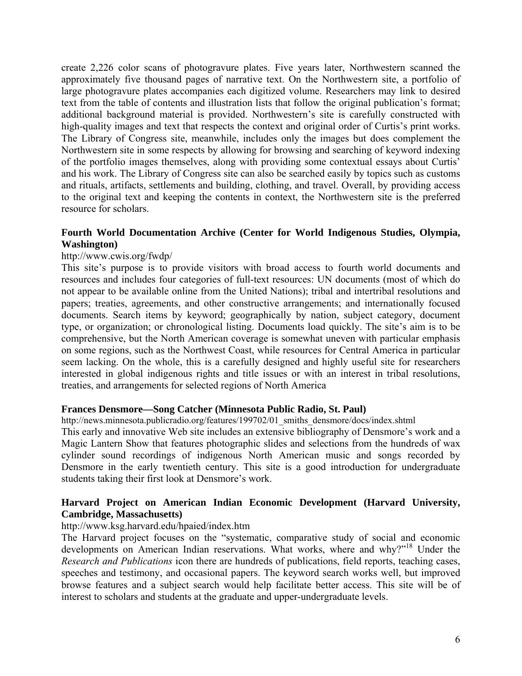create 2,226 color scans of photogravure plates. Five years later, Northwestern scanned the approximately five thousand pages of narrative text. On the Northwestern site, a portfolio of large photogravure plates accompanies each digitized volume. Researchers may link to desired text from the table of contents and illustration lists that follow the original publication's format; additional background material is provided. Northwestern's site is carefully constructed with high-quality images and text that respects the context and original order of Curtis's print works. The Library of Congress site, meanwhile, includes only the images but does complement the Northwestern site in some respects by allowing for browsing and searching of keyword indexing of the portfolio images themselves, along with providing some contextual essays about Curtis' and his work. The Library of Congress site can also be searched easily by topics such as customs and rituals, artifacts, settlements and building, clothing, and travel. Overall, by providing access to the original text and keeping the contents in context, the Northwestern site is the preferred resource for scholars.

## **[Fourth World Documentation Archive](http://www.cwis.org/fwdp.html) (Center for World Indigenous Studies, Olympia, Washington)**

## <http://www.cwis.org/fwdp/>

This site's purpose is to provide visitors with broad access to fourth world documents and resources and includes four categories of full-text resources: UN documents (most of which do not appear to be available online from the United Nations); tribal and intertribal resolutions and papers; treaties, agreements, and other constructive arrangements; and internationally focused documents. Search items by keyword; geographically by nation, subject category, document type, or organization; or chronological listing. Documents load quickly. The site's aim is to be comprehensive, but the North American coverage is somewhat uneven with particular emphasis on some regions, such as the Northwest Coast, while resources for Central America in particular seem lacking. On the whole, this is a carefully designed and highly useful site for researchers interested in global indigenous rights and title issues or with an interest in tribal resolutions, treaties, and arrangements for selected regions of North America

#### **[Frances Densmore—Song Catcher](http://news.minnesota.publicradio.org/features/199702/01_smiths_densmore/docs/index.shtml) (Minnesota Public Radio, St. Paul)**

[http://news.minnesota.publicradio.org/features/199702/01\\_smiths\\_densmore/docs/index.shtml](http://news.minnesota.publicradio.org/features/199702/01_smiths_densmore/docs/index.shtml) 

This early and innovative Web site includes an extensive bibliography of Densmore's work and a Magic Lantern Show that features photographic slides and selections from the hundreds of wax cylinder sound recordings of indigenous North American music and songs recorded by Densmore in the early twentieth century. This site is a good introduction for undergraduate students taking their first look at Densmore's work.

## **[Harvard Project on American Indian Economic Development](http://www.ksg.harvard.edu/hpaied/index.htm) (Harvard University, Cambridge, Massachusetts)**

## <http://www.ksg.harvard.edu/hpaied/index.htm>

The Harvard project focuses on the "systematic, comparative study of social and economic developments on American Indian reservations. What works, where and why?"<sup>18</sup> Under the *Research and Publications* icon there are hundreds of publications, field reports, teaching cases, speeches and testimony, and occasional papers. The keyword search works well, but improved browse features and a subject search would help facilitate better access. This site will be of interest to scholars and students at the graduate and upper-undergraduate levels.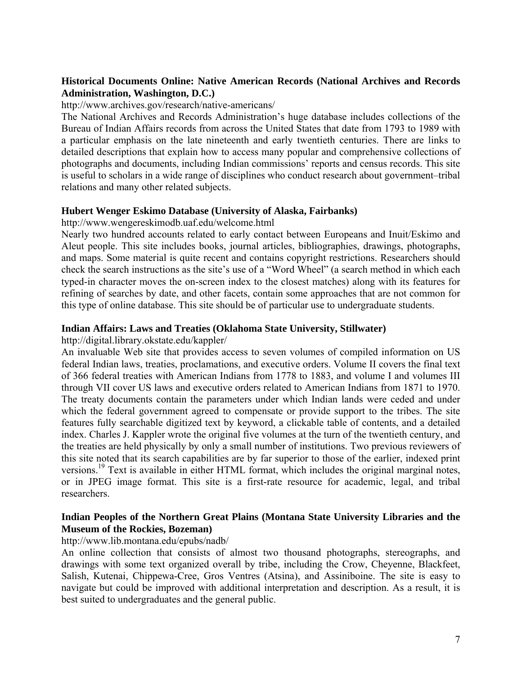## **[Historical Documents Online: Native American Records](http://www.archives.gov/research/native-americans/) (National Archives and Records Administration, Washington, D.C.)**

<http://www.archives.gov/research/native-americans/>

The National Archives and Records Administration's huge database includes collections of the Bureau of Indian Affairs records from across the United States that date from 1793 to 1989 with a particular emphasis on the late nineteenth and early twentieth centuries. There are links to detailed descriptions that explain how to access many popular and comprehensive collections of photographs and documents, including Indian commissions' reports and census records. This site is useful to scholars in a wide range of disciplines who conduct research about government–tribal relations and many other related subjects.

#### **[Hubert Wenger Eskimo Database](http://www.wengereskimodb.uaf.edu/welcome.html) (University of Alaska, Fairbanks)**

<http://www.wengereskimodb.uaf.edu/welcome.html>

Nearly two hundred accounts related to early contact between Europeans and Inuit/Eskimo and Aleut people. This site includes books, journal articles, bibliographies, drawings, photographs, and maps. Some material is quite recent and contains copyright restrictions. Researchers should check the search instructions as the site's use of a "Word Wheel" (a search method in which each typed-in character moves the on-screen index to the closest matches) along with its features for refining of searches by date, and other facets, contain some approaches that are not common for this type of online database. This site should be of particular use to undergraduate students.

#### **[Indian Affairs: Laws and Treaties](http://digital.library.okstate.edu/kappler/) (Oklahoma State University, Stillwater)**

http://digital.library.okstate.edu/kappler/

An invaluable Web site that provides access to seven volumes of compiled information on US federal Indian laws, treaties, proclamations, and executive orders. Volume II covers the final text of 366 federal treaties with American Indians from 1778 to 1883, and volume I and volumes III through VII cover US laws and executive orders related to American Indians from 1871 to 1970. The treaty documents contain the parameters under which Indian lands were ceded and under which the federal government agreed to compensate or provide support to the tribes. The site features fully searchable digitized text by keyword, a clickable table of contents, and a detailed index. Charles J. Kappler wrote the original five volumes at the turn of the twentieth century, and the treaties are held physically by only a small number of institutions. Two previous reviewers of this site noted that its search capabilities are by far superior to those of the earlier, indexed print versions.<sup>19</sup> Text is available in either HTML format, which includes the original marginal notes, or in JPEG image format. This site is a first-rate resource for academic, legal, and tribal researchers.

## **[Indian Peoples of the Northern Great Plains](http://www.lib.montana.edu/epubs/nadb) (Montana State University Libraries and the Museum of the Rockies, Bozeman)**

#### <http://www.lib.montana.edu/epubs/nadb/>

An online collection that consists of almost two thousand photographs, stereographs, and drawings with some text organized overall by tribe, including the Crow, Cheyenne, Blackfeet, Salish, Kutenai, Chippewa-Cree, Gros Ventres (Atsina), and Assiniboine. The site is easy to navigate but could be improved with additional interpretation and description. As a result, it is best suited to undergraduates and the general public.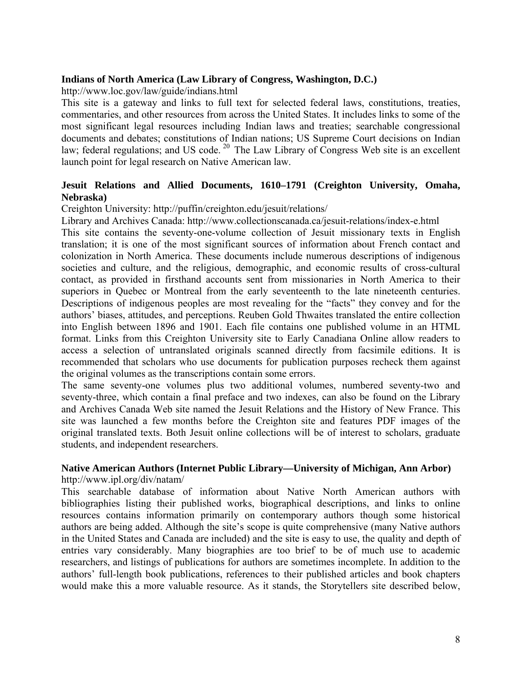#### **Indians of North America (Law Library of Congress, Washington, D.C.)**

<http://www.loc.gov/law/guide/indians.html>

This site is a gateway and links to full text for selected federal laws, constitutions, treaties, commentaries, and other resources from across the United States. It includes links to some of the most significant legal resources including Indian laws and treaties; searchable congressional documents and debates; constitutions of Indian nations; US Supreme Court decisions on Indian law; federal regulations; and US code.<sup>20</sup> The Law Library of Congress Web site is an excellent launch point for legal research on Native American law.

## **[Jesuit Relations and Allied Documents, 1610–1791](http://puffin.creighton.edu/jesuit/relations/) (Creighton University, Omaha, Nebraska)**

Creighton University: http://puffin/creighton.edu/jesuit/relations/

Library and Archives Canada: <http://www.collectionscanada.ca/jesuit-relations/index-e.html> This site contains the seventy-one-volume collection of Jesuit missionary texts in English translation; it is one of the most significant sources of information about French contact and colonization in North America. These documents include numerous descriptions of indigenous societies and culture, and the religious, demographic, and economic results of cross-cultural contact, as provided in firsthand accounts sent from missionaries in North America to their superiors in Quebec or Montreal from the early seventeenth to the late nineteenth centuries. Descriptions of indigenous peoples are most revealing for the "facts" they convey and for the authors' biases, attitudes, and perceptions. Reuben Gold Thwaites translated the entire collection into English between 1896 and 1901. Each file contains one published volume in an HTML format. Links from this Creighton University site to Early Canadiana Online allow readers to access a selection of untranslated originals scanned directly from facsimile editions. It is recommended that scholars who use documents for publication purposes recheck them against the original volumes as the transcriptions contain some errors.

The same seventy-one volumes plus two additional volumes, numbered seventy-two and seventy-three, which contain a final preface and two indexes, can also be found on the Library and Archives Canada Web site named the [Jesuit Relations and the History of New France.](http://www.collectionscanada.ca/jesuit-relations/index-e.html) This site was launched a few months before the Creighton site and features PDF images of the original translated texts. Both Jesuit online collections will be of interest to scholars, graduate students, and independent researchers.

# **[Native American Authors](http://www.ipl.org/div/natam/) (Internet Public Library—University of Michigan, Ann Arbor)**

http://www.ipl.org/div/natam/

This searchable database of information about Native North American authors with bibliographies listing their published works, biographical descriptions, and links to online resources contains information primarily on contemporary authors though some historical authors are being added. Although the site's scope is quite comprehensive (many Native authors in the United States and Canada are included) and the site is easy to use, the quality and depth of entries vary considerably. Many biographies are too brief to be of much use to academic researchers, and listings of publications for authors are sometimes incomplete. In addition to the authors' full-length book publications, references to their published articles and book chapters would make this a more valuable resource. As it stands, the Storytellers site described below,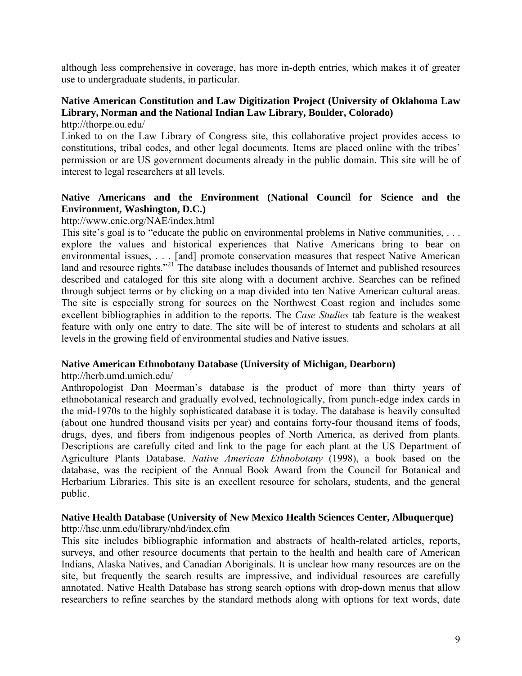although less comprehensive in coverage, has more in-depth entries, which makes it of greater use to undergraduate students, in particular.

# **[Native American Constitution and Law Digitization Project](http://thorpe.ou.edu/) (University of Oklahoma Law Library, Norman and the National Indian Law Library, Boulder, Colorado)**

<http://thorpe.ou.edu/>

Linked to on the Law Library of Congress site, this collaborative project provides access to constitutions, tribal codes, and other legal documents. Items are placed online with the tribes' permission or are US government documents already in the public domain. This site will be of interest to legal researchers at all levels.

# **[Native Americans and the Environment](http://www.cnie.org/NAE/index.html) (National Council for Science and the Environment, Washington, D.C.)**

http://www.cnie.org/NAE/index.html

This site's goal is to "educate the public on environmental problems in Native communities, ... explore the values and historical experiences that Native Americans bring to bear on environmental issues, . . . [and] promote conservation measures that respect Native American land and resource rights."<sup>21</sup> The database includes thousands of Internet and published resources described and cataloged for this site along with a document archive. Searches can be refined through subject terms or by clicking on a map divided into ten Native American cultural areas. The site is especially strong for sources on the Northwest Coast region and includes some excellent bibliographies in addition to the reports. The *Case Studies* tab feature is the weakest feature with only one entry to date. The site will be of interest to students and scholars at all levels in the growing field of environmental studies and Native issues.

#### **[Native American Ethnobotany Database](http://herb.umd.umich.edu/) (University of Michigan, Dearborn)**

http://herb.umd.umich.edu/

Anthropologist Dan Moerman's database is the product of more than thirty years of ethnobotanical research and gradually evolved, technologically, from punch-edge index cards in the mid-1970s to the highly sophisticated database it is today. The database is heavily consulted (about one hundred thousand visits per year) and contains forty-four thousand items of foods, drugs, dyes, and fibers from indigenous peoples of North America, as derived from plants. Descriptions are carefully cited and link to the page for each plant at the US Department of Agriculture Plants Database. *Native American Ethnobotany* (1998), a book based on the database, was the recipient of the Annual Book Award from the Council for Botanical and Herbarium Libraries. This site is an excellent resource for scholars, students, and the general public.

# **[Native Health Database](http://hsc.unm.edu/library/nhd/index.cfm) (University of New Mexico Health Sciences Center, Albuquerque)**

<http://hsc.unm.edu/library/nhd/index.cfm>

This site includes bibliographic information and abstracts of health-related articles, reports, surveys, and other resource documents that pertain to the health and health care of American Indians, Alaska Natives, and Canadian Aboriginals. It is unclear how many resources are on the site, but frequently the search results are impressive, and individual resources are carefully annotated. Native Health Database has strong search options with drop-down menus that allow researchers to refine searches by the standard methods along with options for text words, date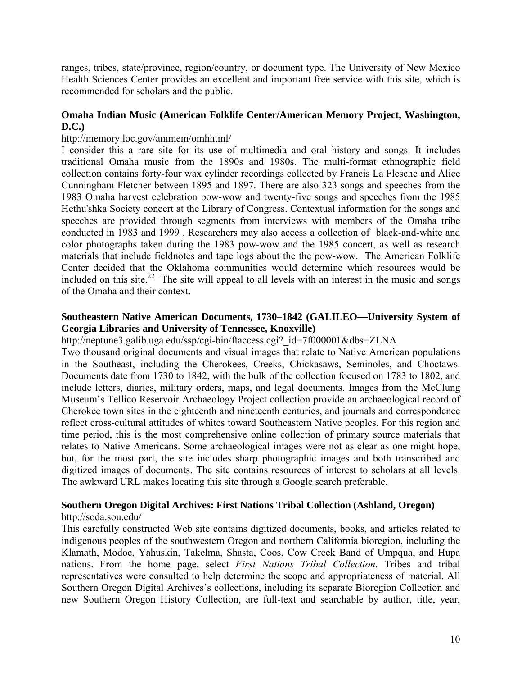ranges, tribes, state/province, region/country, or document type. The University of New Mexico Health Sciences Center provides an excellent and important free service with this site, which is recommended for scholars and the public.

# **[Omaha Indian Music](http://memory.loc.gov/ammem/omhhtml/) (American Folklife Center/American Memory Project, Washington, D.C.)**

# <http://memory.loc.gov/ammem/omhhtml/>

I consider this a rare site for its use of multimedia and oral history and songs. It includes traditional Omaha music from the 1890s and 1980s. The multi-format ethnographic field collection contains forty-four wax cylinder recordings collected by Francis La Flesche and Alice Cunningham Fletcher between 1895 and 1897. There are also 323 songs and speeches from the 1983 Omaha harvest celebration pow-wow and twenty-five songs and speeches from the 1985 Hethu'shka Society concert at the Library of Congress. Contextual information for the songs and speeches are provided through segments from interviews with members of the Omaha tribe conducted in 1983 and 1999 . Researchers may also access a collection of black-and-white and color photographs taken during the 1983 pow-wow and the 1985 concert, as well as research materials that include fieldnotes and tape logs about the the pow-wow. The American Folklife Center decided that the Oklahoma communities would determine which resources would be included on this site.<sup>22</sup> The site will appeal to all levels with an interest in the music and songs of the Omaha and their context.

## **[Southeastern Native American Documents, 1730](http://neptune3.galib.uga.edu/ssp/cgi-bin/ftaccess.cgi?_id=7f000001&dbs=ZLNA)**–**1842 (GALILEO—University System of Georgia Libraries and University of Tennessee, Knoxville)**

http://neptune3.galib.uga.edu/ssp/cgi-bin/ftaccess.cgi? id=7f000001&dbs=ZLNA

Two thousand original documents and visual images that relate to Native American populations in the Southeast, including the Cherokees, Creeks, Chickasaws, Seminoles, and Choctaws. Documents date from 1730 to 1842, with the bulk of the collection focused on 1783 to 1802, and include letters, diaries, military orders, maps, and legal documents. Images from the McClung Museum's Tellico Reservoir Archaeology Project collection provide an archaeological record of Cherokee town sites in the eighteenth and nineteenth centuries, and journals and correspondence reflect cross-cultural attitudes of whites toward Southeastern Native peoples. For this region and time period, this is the most comprehensive online collection of primary source materials that relates to Native Americans. Some archaeological images were not as clear as one might hope, but, for the most part, the site includes sharp photographic images and both transcribed and digitized images of documents. The site contains resources of interest to scholars at all levels. The awkward URL makes locating this site through a Google search preferable.

# **[Southern Oregon Digital Archives: First Nations Tribal Collection](http://soda.sou.edu/) (Ashland, Oregon)**

#### <http://soda.sou.edu/>

This carefully constructed Web site contains digitized documents, books, and articles related to indigenous peoples of the southwestern Oregon and northern California bioregion, including the Klamath, Modoc, Yahuskin, Takelma, Shasta, Coos, Cow Creek Band of Umpqua, and Hupa nations. From the home page, select *First Nations Tribal Collection*. Tribes and tribal representatives were consulted to help determine the scope and appropriateness of material. All Southern Oregon Digital Archives's collections, including its separate Bioregion Collection and new Southern Oregon History Collection, are full-text and searchable by author, title, year,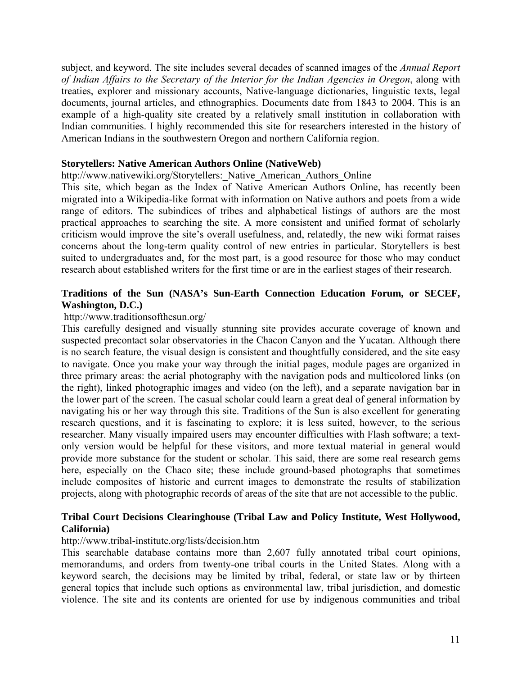subject, and keyword. The site includes several decades of scanned images of the *Annual Report of Indian Affairs to the Secretary of the Interior for the Indian Agencies in Oregon*, along with treaties, explorer and missionary accounts, Native-language dictionaries, linguistic texts, legal documents, journal articles, and ethnographies. Documents date from 1843 to 2004. This is an example of a high-quality site created by a relatively small institution in collaboration with Indian communities. I highly recommended this site for researchers interested in the history of American Indians in the southwestern Oregon and northern California region.

#### **Storytellers: Native American Authors Online (NativeWeb)**

http://www.nativewiki.org/Storytellers: Native American Authors Online

This site, which began as the Index of Native American Authors Online, has recently been migrated into a Wikipedia-like format with information on Native authors and poets from a wide range of editors. The subindices of tribes and alphabetical listings of authors are the most practical approaches to searching the site. A more consistent and unified format of scholarly criticism would improve the site's overall usefulness, and, relatedly, the new wiki format raises concerns about the long-term quality control of new entries in particular. Storytellers is best suited to undergraduates and, for the most part, is a good resource for those who may conduct research about established writers for the first time or are in the earliest stages of their research.

## **Traditions of the Sun (NASA's Sun-Earth Connection Education Forum, or SECEF, Washington, D.C.)**

#### http://www.traditionsofthesun.org/

This carefully designed and visually stunning site provides accurate coverage of known and suspected precontact solar observatories in the Chacon Canyon and the Yucatan. Although there is no search feature, the visual design is consistent and thoughtfully considered, and the site easy to navigate. Once you make your way through the initial pages, module pages are organized in three primary areas: the aerial photography with the navigation pods and multicolored links (on the right), linked photographic images and video (on the left), and a separate navigation bar in the lower part of the screen. The casual scholar could learn a great deal of general information by navigating his or her way through this site. Traditions of the Sun is also excellent for generating research questions, and it is fascinating to explore; it is less suited, however, to the serious researcher. Many visually impaired users may encounter difficulties with Flash software; a textonly version would be helpful for these visitors, and more textual material in general would provide more substance for the student or scholar. This said, there are some real research gems here, especially on the Chaco site; these include ground-based photographs that sometimes include composites of historic and current images to demonstrate the results of stabilization projects, along with photographic records of areas of the site that are not accessible to the public.

## **[Tribal Court Decisions Clearinghouse](http://www.tribal-institute.org/lists/decision.htm) (Tribal Law and Policy Institute, West Hollywood, California)**

#### http://www.tribal-institute.org/lists/decision.htm

This searchable database contains more than 2,607 fully annotated tribal court opinions, memorandums, and orders from twenty-one tribal courts in the United States. Along with a keyword search, the decisions may be limited by tribal, federal, or state law or by thirteen general topics that include such options as environmental law, tribal jurisdiction, and domestic violence. The site and its contents are oriented for use by indigenous communities and tribal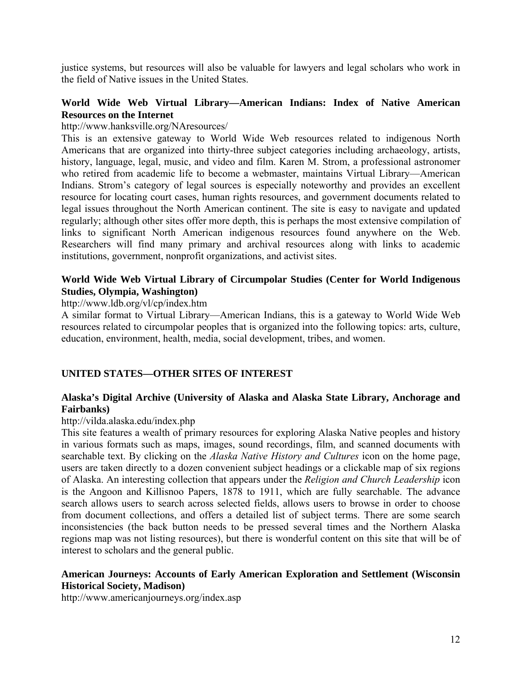justice systems, but resources will also be valuable for lawyers and legal scholars who work in the field of Native issues in the United States.

## **[World Wide Web Virtual Library—American Indians: Index of Native American](http://www.hanksville.org/NAresources/)  [Resources on the Internet](http://www.hanksville.org/NAresources/)**

#### http://www.hanksville.org/NAresources/

This is an extensive gateway to World Wide Web resources related to indigenous North Americans that are organized into thirty-three subject categories including archaeology, artists, history, language, legal, music, and video and film. Karen M. Strom, a professional astronomer who retired from academic life to become a webmaster, maintains Virtual Library—American Indians. Strom's category of legal sources is especially noteworthy and provides an excellent resource for locating court cases, human rights resources, and government documents related to legal issues throughout the North American continent. The site is easy to navigate and updated regularly; although other sites offer more depth, this is perhaps the most extensive compilation of links to significant North American indigenous resources found anywhere on the Web. Researchers will find many primary and archival resources along with links to academic institutions, government, nonprofit organizations, and activist sites.

## **World Wide Web Virtual Library of Circumpolar Studies (Center for World Indigenous Studies, Olympia, Washington)**

#### http://www.ldb.org/vl/cp/index.htm

A similar format to Virtual Library—American Indians, this is a gateway to World Wide Web resources related to circumpolar peoples that is organized into the following topics: arts, culture, education, environment, health, media, social development, tribes, and women.

# **UNITED STATES—OTHER SITES OF INTEREST**

# **Alaska's Digital Archive (University of Alaska and Alaska State Library, Anchorage and Fairbanks)**

#### http://vilda.alaska.edu/index.php

This site features a wealth of primary resources for exploring Alaska Native peoples and history in various formats such as maps, images, sound recordings, film, and scanned documents with searchable text. By clicking on the *Alaska Native History and Cultures* icon on the home page, users are taken directly to a dozen convenient subject headings or a clickable map of six regions of Alaska. An interesting collection that appears under the *Religion and Church Leadership* icon is the Angoon and Killisnoo Papers, 1878 to 1911, which are fully searchable. The advance search allows users to search across selected fields, allows users to browse in order to choose from document collections, and offers a detailed list of subject terms. There are some search inconsistencies (the back button needs to be pressed several times and the Northern Alaska regions map was not listing resources), but there is wonderful content on this site that will be of interest to scholars and the general public.

## **[American Journeys: Accounts of Early American Exploration and Settlement](http://www.americanjourneys.org/index.asp) (Wisconsin Historical Society, Madison)**

http://www.americanjourneys.org/index.asp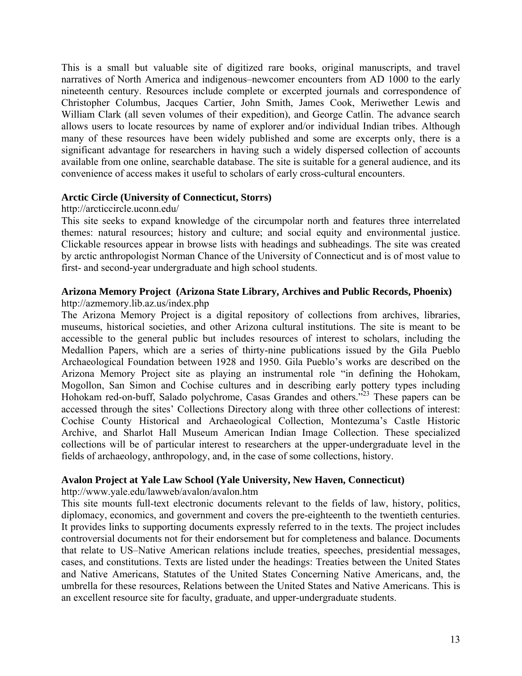This is a small but valuable site of digitized rare books, original manuscripts, and travel narratives of North America and indigenous–newcomer encounters from AD 1000 to the early nineteenth century. Resources include complete or excerpted journals and correspondence of Christopher Columbus, Jacques Cartier, John Smith, James Cook, Meriwether Lewis and William Clark (all seven volumes of their expedition), and George Catlin. The advance search allows users to locate resources by name of explorer and/or individual Indian tribes. Although many of these resources have been widely published and some are excerpts only, there is a significant advantage for researchers in having such a widely dispersed collection of accounts available from one online, searchable database. The site is suitable for a general audience, and its convenience of access makes it useful to scholars of early cross-cultural encounters.

## **[Arctic Circle](http://arcticcircle.uconn.edu/) (University of Connecticut, Storrs)**

#### http://arcticcircle.uconn.edu/

This site seeks to expand knowledge of the circumpolar north and features three interrelated themes: natural resources; history and culture; and social equity and environmental justice. Clickable resources appear in browse lists with headings and subheadings. The site was created by arctic anthropologist Norman Chance of the University of Connecticut and is of most value to first- and second-year undergraduate and high school students.

# **[Arizona Memory Project](http://azmemory.lib.az.us/index.php) (Arizona State Library, Archives and Public Records, Phoenix)**

## [http://azmemory.lib.az.us/index.php](http://azmemory.lib.az.us/cdm4/index.php?CISOROOT=/medallion)

The Arizona Memory Project is a digital repository of collections from archives, libraries, museums, historical societies, and other Arizona cultural institutions. The site is meant to be accessible to the general public but includes resources of interest to scholars, including the Medallion Papers, which are a series of thirty-nine publications issued by the Gila Pueblo Archaeological Foundation between 1928 and 1950. Gila Pueblo's works are described on the Arizona Memory Project site as playing an instrumental role "in defining the Hohokam, Mogollon, San Simon and Cochise cultures and in describing early pottery types including Hohokam red-on-buff, Salado polychrome, Casas Grandes and others.<sup>"23</sup> These papers can be accessed through the sites' Collections Directory along with three other collections of interest: Cochise County Historical and Archaeological Collection, Montezuma's Castle Historic Archive, and Sharlot Hall Museum American Indian Image Collection. These specialized collections will be of particular interest to researchers at the upper-undergraduate level in the fields of archaeology, anthropology, and, in the case of some collections, history.

# **[Avalon Project at Yale Law School](http://www.yale.edu/lawweb/avalon/avalon.htm) (Yale University, New Haven, Connecticut)**

[http://www.yale.edu/lawweb/avalon/avalon.htm](http://www.yale.edu/lawweb/avalon/ntreaty/ntreaty.htm) 

This site mounts full-text electronic documents relevant to the fields of law, history, politics, diplomacy, economics, and government and covers the pre-eighteenth to the twentieth centuries. It provides links to supporting documents expressly referred to in the texts. The project includes controversial documents not for their endorsement but for completeness and balance. Documents that relate to US–Native American relations include treaties, speeches, presidential messages, cases, and constitutions. Texts are listed under the headings: Treaties between the United States and Native Americans, Statutes of the United States Concerning Native Americans, and, the umbrella for these resources, Relations between the United States and Native Americans. This is an excellent resource site for faculty, graduate, and upper-undergraduate students.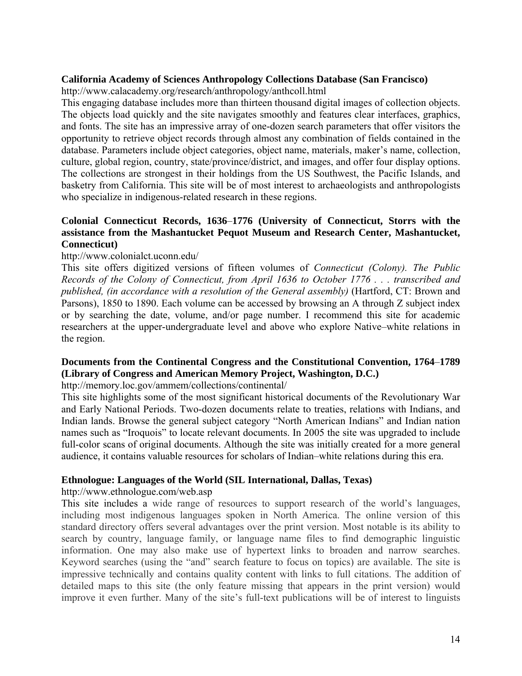#### **[California Academy of Sciences Anthropology Collections Database](http://www.calacademy.org/research/anthropology/anthcoll.html) (San Francisco)**

http://www.calacademy.org/research/anthropology/anthcoll.html

This engaging database includes more than thirteen thousand digital images of collection objects. The objects load quickly and the site navigates smoothly and features clear interfaces, graphics, and fonts. The site has an impressive array of one-dozen search parameters that offer visitors the opportunity to retrieve object records through almost any combination of fields contained in the database. Parameters include object categories, object name, materials, maker's name, collection, culture, global region, country, state/province/district, and images, and offer four display options. The collections are strongest in their holdings from the US Southwest, the Pacific Islands, and basketry from California. This site will be of most interest to archaeologists and anthropologists who specialize in indigenous-related research in these regions.

# **[Colonial Connecticut Records, 1636](http://www.colonialct.uconn.edu/)**–**1776 (University of Connecticut, Storrs with the assistance from the Mashantucket Pequot Museum and Research Center, Mashantucket, Connecticut)**

#### http://www.colonialct.uconn.edu/

This site offers digitized versions of fifteen volumes of *Connecticut (Colony). The Public Records of the Colony of Connecticut, from April 1636 to October 1776 . . . transcribed and published, (in accordance with a resolution of the General assembly)* (Hartford, CT: Brown and Parsons), 1850 to 1890. Each volume can be accessed by browsing an A through Z subject index or by searching the date, volume, and/or page number. I recommend this site for academic researchers at the upper-undergraduate level and above who explore Native–white relations in the region.

## **[Documents from the Continental Congress and the Constitutional Convention, 1764](http://memory.loc.gov/ammem/collections/continental/)**–**1789 (Library of Congress and American Memory Project, Washington, D.C.)**

http://memory.loc.gov/ammem/collections/continental/

This site highlights some of the most significant historical documents of the Revolutionary War and Early National Periods. Two-dozen documents relate to treaties, relations with Indians, and Indian lands. Browse the general subject category "North American Indians" and Indian nation names such as "Iroquois" to locate relevant documents. In 2005 the site was upgraded to include full-color scans of original documents. Although the site was initially created for a more general audience, it contains valuable resources for scholars of Indian–white relations during this era.

#### **[Ethnologue: Languages of the World](http://www.ethnologue.com/web.asp) (SIL International, Dallas, Texas)**

#### http://www.ethnologue.com/web.asp

This site includes a wide range of resources to support research of the world's languages, including most indigenous languages spoken in North America. The online version of this standard directory offers several advantages over the print version. Most notable is its ability to search by country, language family, or language name files to find demographic linguistic information. One may also make use of hypertext links to broaden and narrow searches. Keyword searches (using the "and" search feature to focus on topics) are available. The site is impressive technically and contains quality content with links to full citations. The addition of detailed maps to this site (the only feature missing that appears in the print version) would improve it even further. Many of the site's full-text publications will be of interest to linguists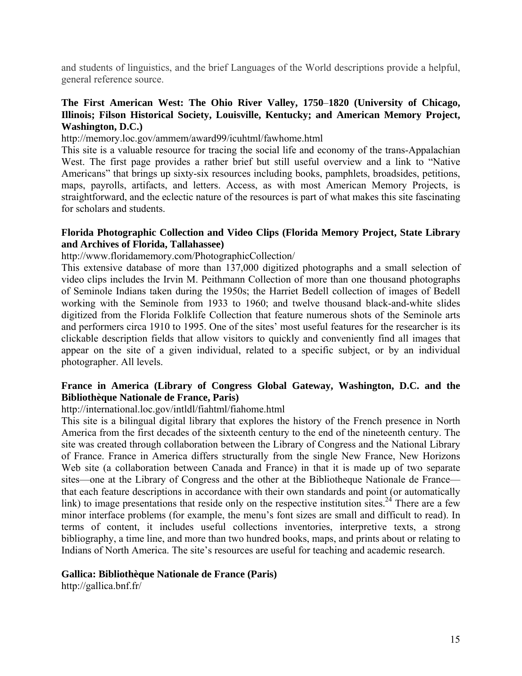and students of linguistics, and the brief Languages of the World descriptions provide a helpful, general reference source.

## **The First American West: The Ohio River Valley, 1750**–**1820 (University of Chicago, Illinois; Filson Historical Society, Louisville, Kentucky; and American Memory Project, Washington, D.C.)**

http://memory.loc.gov/ammem/award99/icuhtml/fawhome.html

This site is a valuable resource for tracing the social life and economy of the trans-Appalachian West. The first page provides a rather brief but still useful overview and a link to "Native Americans" that brings up sixty-six resources including books, pamphlets, broadsides, petitions, maps, payrolls, artifacts, and letters. Access, as with most American Memory Projects, is straightforward, and the eclectic nature of the resources is part of what makes this site fascinating for scholars and students.

## **Florida Photographic Collection and Video Clips (Florida Memory Project, State Library and Archives of Florida, Tallahassee)**

http://www.floridamemory.com/PhotographicCollection/

This extensive database of more than 137,000 digitized photographs and a small selection of video clips includes the Irvin M. Peithmann Collection of more than one thousand photographs of Seminole Indians taken during the 1950s; the Harriet Bedell collection of images of Bedell working with the Seminole from 1933 to 1960; and twelve thousand black-and-white slides digitized from the Florida Folklife Collection that feature numerous shots of the Seminole arts and performers circa 1910 to 1995. One of the sites' most useful features for the researcher is its clickable description fields that allow visitors to quickly and conveniently find all images that appear on the site of a given individual, related to a specific subject, or by an individual photographer. All levels.

## **[France in America](http://international.loc.gov/intldl/fiahtml/fiahome.html) (Library of Congress Global Gateway, Washington, D.C. and the Bibliothèque Nationale de France, Paris)**

http://international.loc.gov/intldl/fiahtml/fiahome.html

This site is a bilingual digital library that explores the history of the French presence in North America from the first decades of the sixteenth century to the end of the nineteenth century. The site was created through collaboration between the Library of Congress and the National Library of France. France in America differs structurally from the single New France, New Horizons Web site (a collaboration between Canada and France) in that it is made up of two separate sites—one at the Library of Congress and the other at the Bibliotheque Nationale de France that each feature descriptions in accordance with their own standards and point (or automatically link) to image presentations that reside only on the respective institution sites.<sup>24</sup> There are a few minor interface problems (for example, the menu's font sizes are small and difficult to read). In terms of content, it includes useful collections inventories, interpretive texts, a strong bibliography, a time line, and more than two hundred books, maps, and prints about or relating to Indians of North America. The site's resources are useful for teaching and academic research.

# **[Gallica: Bibliothèque Nationale de France](http://gallica.bnf.fr/) (Paris)**

[http://gallica.bnf.fr/](http://gallica2.bnf.fr/)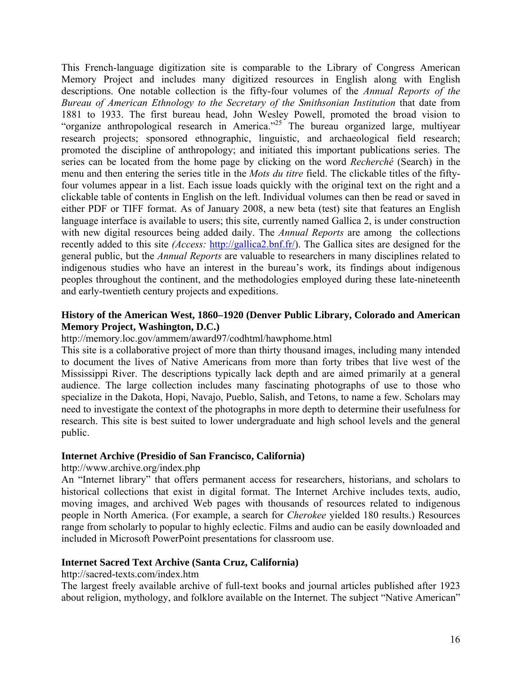This French-language digitization site is comparable to the Library of Congress American Memory Project and includes many digitized resources in English along with English descriptions. One notable collection is the fifty-four volumes of the *Annual Reports of the Bureau of American Ethnology to the Secretary of the Smithsonian Institution that date from* 1881 to 1933. The first bureau head, John Wesley Powell, promoted the broad vision to "organize anthropological research in America."<sup>25</sup> The bureau organized large, multiyear research projects; sponsored ethnographic, linguistic, and archaeological field research; promoted the discipline of anthropology; and initiated this important publications series. The series can be located from the home page by clicking on the word *Recherché* (Search) in the menu and then entering the series title in the *Mots du titre* field. The clickable titles of the fiftyfour volumes appear in a list. Each issue loads quickly with the original text on the right and a clickable table of contents in English on the left. Individual volumes can then be read or saved in either PDF or TIFF format. As of January 2008, a new beta (test) site that features an English language interface is available to users; this site, currently named Gallica 2, is under construction with new digital resources being added daily. The *Annual Reports* are among the collections recently added to this site *(Access:* http://gallica2.bnf.fr/). The Gallica sites are designed for the general public, but the *Annual Reports* are valuable to researchers in many disciplines related to indigenous studies who have an interest in the bureau's work, its findings about indigenous peoples throughout the continent, and the methodologies employed during these late-nineteenth and early-twentieth century projects and expeditions.

#### **[History of the American West, 1860–1920](http://memory.loc.gov/ammem/award97/codhtml/hawphome.html) (Denver Public Library, Colorado and American Memory Project, Washington, D.C.)**

#### http://memory.loc.gov/ammem/award97/codhtml/hawphome.html

This site is a collaborative project of more than thirty thousand images, including many intended to document the lives of Native Americans from more than forty tribes that live west of the Mississippi River. The descriptions typically lack depth and are aimed primarily at a general audience. The large collection includes many fascinating photographs of use to those who specialize in the Dakota, Hopi, Navajo, Pueblo, Salish, and Tetons, to name a few. Scholars may need to investigate the context of the photographs in more depth to determine their usefulness for research. This site is best suited to lower undergraduate and high school levels and the general public.

#### **Internet Archive (Presidio of San Francisco, California)**

#### http://www.archive.org/index.php

An "Internet library" that offers permanent access for researchers, historians, and scholars to historical collections that exist in digital format. The Internet Archive includes texts, audio, moving images, and archived Web pages with thousands of resources related to indigenous people in North America. (For example, a search for *Cherokee* yielded 180 results.) Resources range from scholarly to popular to highly eclectic. Films and audio can be easily downloaded and included in Microsoft PowerPoint presentations for classroom use.

#### **[Internet Sacred Text Archive](http://sacred-texts.com/index.htm) (Santa Cruz, California)**

#### http://sacred-texts.com/index.htm

The largest freely available archive of full-text books and journal articles published after 1923 about religion, mythology, and folklore available on the Internet. The subject "Native American"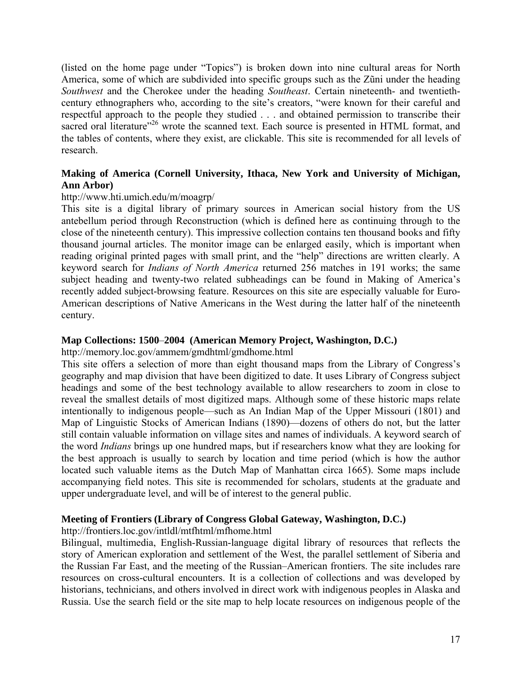(listed on the home page under "Topics") is broken down into nine cultural areas for North America, some of which are subdivided into specific groups such as the Zũni under the heading *Southwest* and the Cherokee under the heading *Southeast*. Certain nineteenth- and twentiethcentury ethnographers who, according to the site's creators, "were known for their careful and respectful approach to the people they studied . . . and obtained permission to transcribe their sacred oral literature"<sup>26</sup> wrote the scanned text. Each source is presented in HTML format, and the tables of contents, where they exist, are clickable. This site is recommended for all levels of research.

## **Making of America (Cornell University, Ithaca, New York and University of Michigan, Ann Arbor)**

## http://www.hti.umich.edu/m/moagrp/

This site is a digital library of primary sources in American social history from the US antebellum period through Reconstruction (which is defined here as continuing through to the close of the nineteenth century). This impressive collection contains ten thousand books and fifty thousand journal articles. The monitor image can be enlarged easily, which is important when reading original printed pages with small print, and the "help" directions are written clearly. A keyword search for *Indians of North America* returned 256 matches in 191 works; the same subject heading and twenty-two related subheadings can be found in Making of America's recently added subject-browsing feature. Resources on this site are especially valuable for Euro-American descriptions of Native Americans in the West during the latter half of the nineteenth century.

## **[Map Collections: 1500](http://memory.loc.gov/ammem/gmdhtml/gmdhome.html)**–**2004 (American Memory Project, Washington, D.C.)**

http://memory.loc.gov/ammem/gmdhtml/gmdhome.html

This site offers a selection of more than eight thousand maps from the Library of Congress's geography and map division that have been digitized to date. It uses Library of Congress subject headings and some of the best technology available to allow researchers to zoom in close to reveal the smallest details of most digitized maps. Although some of these historic maps relate intentionally to indigenous people—such as An Indian Map of the Upper Missouri (1801) and Map of Linguistic Stocks of American Indians (1890)—dozens of others do not, but the latter still contain valuable information on village sites and names of individuals. A keyword search of the word *Indians* brings up one hundred maps, but if researchers know what they are looking for the best approach is usually to search by location and time period (which is how the author located such valuable items as the Dutch Map of Manhattan circa 1665). Some maps include accompanying field notes. This site is recommended for scholars, students at the graduate and upper undergraduate level, and will be of interest to the general public.

# **[Meeting of Frontiers](http://frontiers.loc.gov/intldl/mtfhtml/mfhome.html) (Library of Congress Global Gateway, Washington, D.C.)**

http://frontiers.loc.gov/intldl/mtfhtml/mfhome.html

Bilingual, multimedia, English-Russian-language digital library of resources that reflects the story of American exploration and settlement of the West, the parallel settlement of Siberia and the Russian Far East, and the meeting of the Russian–American frontiers. The site includes rare resources on cross-cultural encounters. It is a collection of collections and was developed by historians, technicians, and others involved in direct work with indigenous peoples in Alaska and Russia. Use the search field or the site map to help locate resources on indigenous people of the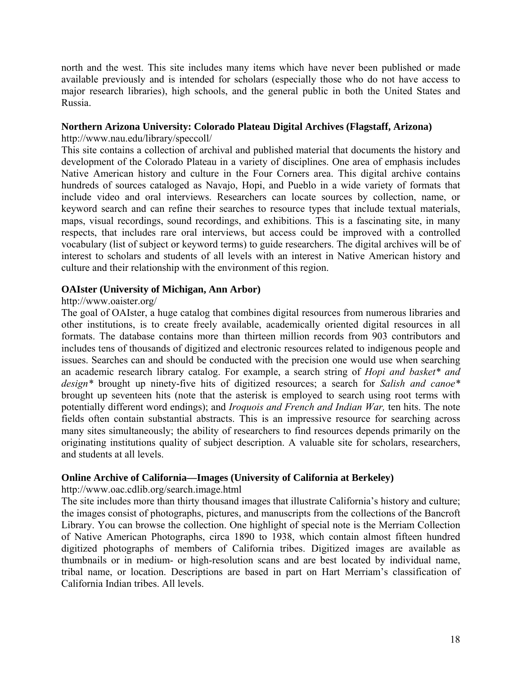north and the west. This site includes many items which have never been published or made available previously and is intended for scholars (especially those who do not have access to major research libraries), high schools, and the general public in both the United States and Russia.

## **[Northern Arizona University: Colorado Plateau Digital Archives](http://www.nau.edu/library/speccoll/) (Flagstaff, Arizona)**

[http://www.nau.edu/library/speccoll/](http://www.nau.edu/library/speccoll/exhibits/sca/mission/map.html) 

This site contains a collection of archival and published material that documents the history and development of the Colorado Plateau in a variety of disciplines. One area of emphasis includes Native American history and culture in the Four Corners area. This digital archive contains hundreds of sources cataloged as Navajo, Hopi, and Pueblo in a wide variety of formats that include video and oral interviews. Researchers can locate sources by collection, name, or keyword search and can refine their searches to resource types that include textual materials, maps, visual recordings, sound recordings, and exhibitions. This is a fascinating site, in many respects, that includes rare oral interviews, but access could be improved with a controlled vocabulary (list of subject or keyword terms) to guide researchers. The digital archives will be of interest to scholars and students of all levels with an interest in Native American history and culture and their relationship with the environment of this region.

# **OAIster (University of Michigan, Ann Arbor)**

#### http://www.oaister.org/

The goal of OAIster, a huge catalog that combines digital resources from numerous libraries and other institutions, is to create freely available, academically oriented digital resources in all formats. The database contains more than thirteen million records from 903 contributors and includes tens of thousands of digitized and electronic resources related to indigenous people and issues. Searches can and should be conducted with the precision one would use when searching an academic research library catalog. For example, a search string of *Hopi and basket\* and design\** brought up ninety-five hits of digitized resources; a search for *Salish and canoe\** brought up seventeen hits (note that the asterisk is employed to search using root terms with potentially different word endings); and *Iroquois and French and Indian War,* ten hits. The note fields often contain substantial abstracts. This is an impressive resource for searching across many sites simultaneously; the ability of researchers to find resources depends primarily on the originating institutions quality of subject description. A valuable site for scholars, researchers, and students at all levels.

# **Online Archive of California—Images (University of California at Berkeley)**

http://www.oac.cdlib.org/search.image.html

The site includes more than thirty thousand images that illustrate California's history and culture; the images consist of photographs, pictures, and manuscripts from the collections of the Bancroft Library. You can browse the collection. One highlight of special note is the Merriam Collection of Native American Photographs, circa 1890 to 1938, which contain almost fifteen hundred digitized photographs of members of California tribes. Digitized images are available as thumbnails or in medium- or high-resolution scans and are best located by individual name, tribal name, or location. Descriptions are based in part on Hart Merriam's classification of California Indian tribes. All levels.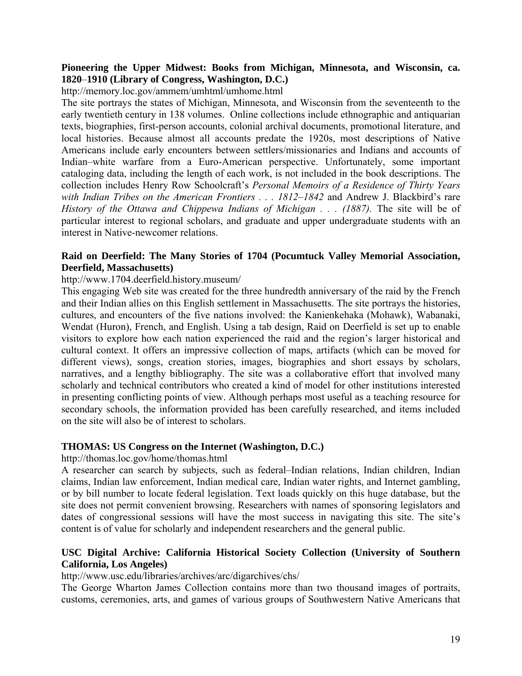#### **[Pioneering the Upper Midwest: Books from Michigan, Minnesota, and Wisconsin, ca.](http://memory.loc.gov/ammem/umhtml/umhome.html)  [1820](http://memory.loc.gov/ammem/umhtml/umhome.html)**–**1910 (Library of Congress, Washington, D.C.)**

http://memory.loc.gov/ammem/umhtml/umhome.html

The site portrays the states of Michigan, Minnesota, and Wisconsin from the seventeenth to the early twentieth century in 138 volumes. Online collections include ethnographic and antiquarian texts, biographies, first-person accounts, colonial archival documents, promotional literature, and local histories. Because almost all accounts predate the 1920s, most descriptions of Native Americans include early encounters between settlers/missionaries and Indians and accounts of Indian–white warfare from a Euro-American perspective. Unfortunately, some important cataloging data, including the length of each work, is not included in the book descriptions. The collection includes Henry Row Schoolcraft's *Personal Memoirs of a Residence of Thirty Years with Indian Tribes on the American Frontiers . . . 1812*–*1842* and Andrew J. Blackbird's rare *History of the Ottawa and Chippewa Indians of Michigan . . . (1887).* The site will be of particular interest to regional scholars, and graduate and upper undergraduate students with an interest in Native-newcomer relations.

#### **Raid on Deerfield: The Many Stories of 1704 (Pocumtuck Valley Memorial Association, Deerfield, Massachusetts)**

#### http://www.1704.deerfield.history.museum/

This engaging Web site was created for the three hundredth anniversary of the raid by the French and their Indian allies on this English settlement in Massachusetts. The site portrays the histories, cultures, and encounters of the five nations involved: the Kanienkehaka (Mohawk), Wabanaki, Wendat (Huron), French, and English. Using a tab design, Raid on Deerfield is set up to enable visitors to explore how each nation experienced the raid and the region's larger historical and cultural context. It offers an impressive collection of maps, artifacts (which can be moved for different views), songs, creation stories, images, biographies and short essays by scholars, narratives, and a lengthy bibliography. The site was a collaborative effort that involved many scholarly and technical contributors who created a kind of model for other institutions interested in presenting conflicting points of view. Although perhaps most useful as a teaching resource for secondary schools, the information provided has been carefully researched, and items included on the site will also be of interest to scholars.

#### **[THOMAS: US Congress on the Internet](http://thomas.loc.gov/home/thomas.html) (Washington, D.C.)**

http://thomas.loc.gov/home/thomas.html

A researcher can search by subjects, such as federal–Indian relations, Indian children, Indian claims, Indian law enforcement, Indian medical care, Indian water rights, and Internet gambling, or by bill number to locate federal legislation. Text loads quickly on this huge database, but the site does not permit convenient browsing. Researchers with names of sponsoring legislators and dates of congressional sessions will have the most success in navigating this site. The site's content is of value for scholarly and independent researchers and the general public.

## **[USC Digital Archive: California Historical Society Collection](http://www.usc.edu/libraries/archives/arc/digarchives/chs/) (University of Southern California, Los Angeles)**

http://www.usc.edu/libraries/archives/arc/digarchives/chs/

The George Wharton James Collection contains more than two thousand images of portraits, customs, ceremonies, arts, and games of various groups of Southwestern Native Americans that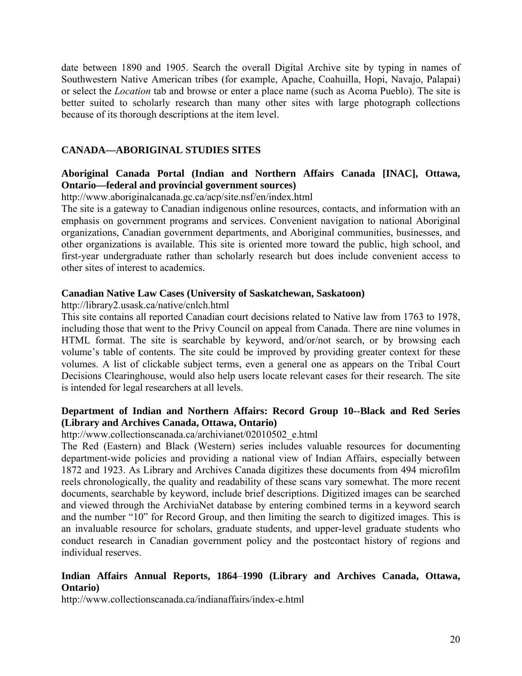date between 1890 and 1905. Search the overall Digital Archive site by typing in names of Southwestern Native American tribes (for example, Apache, Coahuilla, Hopi, Navajo, Palapai) or select the *Location* tab and browse or enter a place name (such as Acoma Pueblo). The site is better suited to scholarly research than many other sites with large photograph collections because of its thorough descriptions at the item level.

# **CANADA—ABORIGINAL STUDIES SITES**

## **Aboriginal Canada Portal (Indian and Northern Affairs Canada [INAC], Ottawa, Ontario—federal and provincial government sources)**

http://www.aboriginalcanada.gc.ca/acp/site.nsf/en/index.html

The site is a gateway to Canadian indigenous online resources, contacts, and information with an emphasis on government programs and services. Convenient navigation to national Aboriginal organizations, Canadian government departments, and Aboriginal communities, businesses, and other organizations is available. This site is oriented more toward the public, high school, and first-year undergraduate rather than scholarly research but does include convenient access to other sites of interest to academics.

#### **Canadian Native Law Cases (University of Saskatchewan, Saskatoon)**

http://library2.usask.ca/native/cnlch.html

This site contains all reported Canadian court decisions related to Native law from 1763 to 1978, including those that went to the Privy Council on appeal from Canada. There are nine volumes in HTML format. The site is searchable by keyword, and/or/not search, or by browsing each volume's table of contents. The site could be improved by providing greater context for these volumes. A list of clickable subject terms, even a general one as appears on the Tribal Court Decisions Clearinghouse, would also help users locate relevant cases for their research. The site is intended for legal researchers at all levels.

## **[Department of Indian and Northern Affairs: Record Group 10--Black and Red Series](http://www.collectionscanada.ca/archivianet/02010502_e.html) (Library and Archives Canada, Ottawa, Ontario)**

http://www.collectionscanada.ca/archivianet/02010502\_e.html

The Red (Eastern) and Black (Western) series includes valuable resources for documenting department-wide policies and providing a national view of Indian Affairs, especially between 1872 and 1923. As Library and Archives Canada digitizes these documents from 494 microfilm reels chronologically, the quality and readability of these scans vary somewhat. The more recent documents, searchable by keyword, include brief descriptions. Digitized images can be searched and viewed through the ArchiviaNet database by entering combined terms in a keyword search and the number "10" for Record Group, and then limiting the search to digitized images. This is an invaluable resource for scholars, graduate students, and upper-level graduate students who conduct research in Canadian government policy and the postcontact history of regions and individual reserves.

## **[Indian Affairs Annual Reports, 1864](http://www.collectionscanada.ca/indianaffairs/index-e.html)**–**1990 (Library and Archives Canada, Ottawa, Ontario)**

http://www.collectionscanada.ca/indianaffairs/index-e.html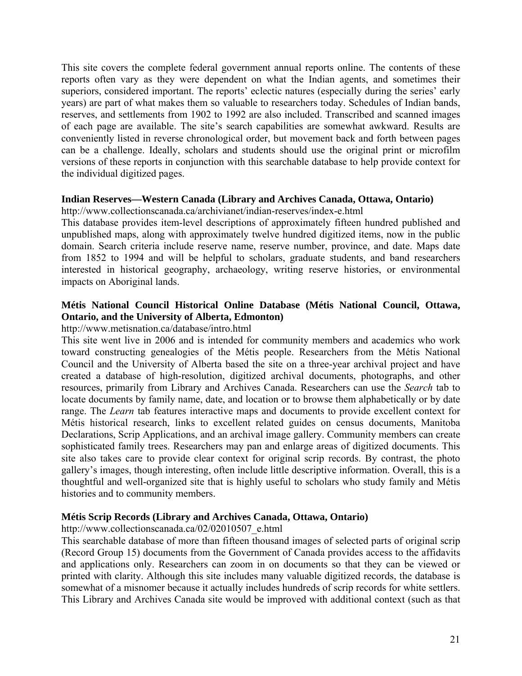This site covers the complete federal government annual reports online. The contents of these reports often vary as they were dependent on what the Indian agents, and sometimes their superiors, considered important. The reports' eclectic natures (especially during the series' early years) are part of what makes them so valuable to researchers today. Schedules of Indian bands, reserves, and settlements from 1902 to 1992 are also included. Transcribed and scanned images of each page are available. The site's search capabilities are somewhat awkward. Results are conveniently listed in reverse chronological order, but movement back and forth between pages can be a challenge. Ideally, scholars and students should use the original print or microfilm versions of these reports in conjunction with this searchable database to help provide context for the individual digitized pages.

#### **[Indian Reserves—Western Canada](http://www.collectionscanada.ca/archivianet/indian-reserves/index-e.html) (Library and Archives Canada, Ottawa, Ontario)**

http://www.collectionscanada.ca/archivianet/indian-reserves/index-e.html

This database provides item-level descriptions of approximately fifteen hundred published and unpublished maps, along with approximately twelve hundred digitized items, now in the public domain. Search criteria include reserve name, reserve number, province, and date. Maps date from 1852 to 1994 and will be helpful to scholars, graduate students, and band researchers interested in historical geography, archaeology, writing reserve histories, or environmental impacts on Aboriginal lands.

## **Métis National Council Historical Online Database (Métis National Council, Ottawa, Ontario, and the University of Alberta, Edmonton)**

#### http://www.metisnation.ca/database/intro.html

This site went live in 2006 and is intended for community members and academics who work toward constructing genealogies of the Métis people. Researchers from the Métis National Council and the University of Alberta based the site on a three-year archival project and have created a database of high-resolution, digitized archival documents, photographs, and other resources, primarily from Library and Archives Canada. Researchers can use the *Search* tab to locate documents by family name, date, and location or to browse them alphabetically or by date range. The *Learn* tab features interactive maps and documents to provide excellent context for Métis historical research, links to excellent related guides on census documents, Manitoba Declarations, Scrip Applications, and an archival image gallery. Community members can create sophisticated family trees. Researchers may pan and enlarge areas of digitized documents. This site also takes care to provide clear context for original scrip records. By contrast, the photo gallery's images, though interesting, often include little descriptive information. Overall, this is a thoughtful and well-organized site that is highly useful to scholars who study family and Métis histories and to community members.

#### **[Métis Scrip Records](http://www.collectionscanada.ca/02/02010507_e.html) (Library and Archives Canada, Ottawa, Ontario)**

http://www.collectionscanada.ca/02/02010507\_e.html

This searchable database of more than fifteen thousand images of selected parts of original scrip (Record Group 15) documents from the Government of Canada provides access to the affidavits and applications only. Researchers can zoom in on documents so that they can be viewed or printed with clarity. Although this site includes many valuable digitized records, the database is somewhat of a misnomer because it actually includes hundreds of scrip records for white settlers. This Library and Archives Canada site would be improved with additional context (such as that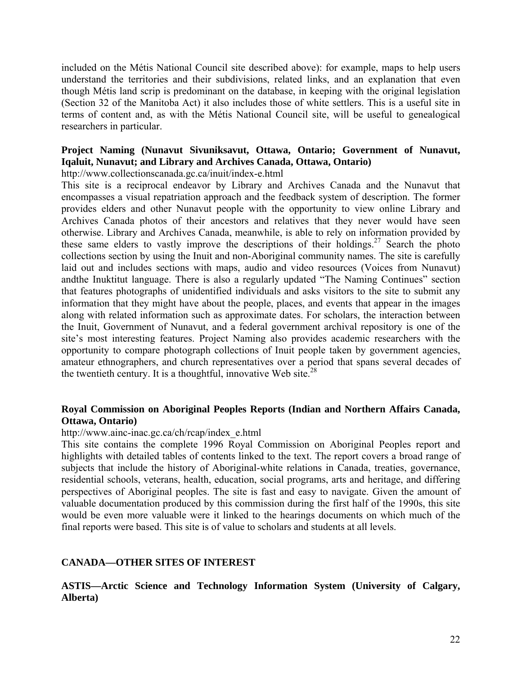included on the Métis National Council site described above): for example, maps to help users understand the territories and their subdivisions, related links, and an explanation that even though Métis land scrip is predominant on the database, in keeping with the original legislation (Section 32 of the Manitoba Act) it also includes those of white settlers. This is a useful site in terms of content and, as with the Métis National Council site, will be useful to genealogical researchers in particular.

# **Project Naming (Nunavut Sivuniksavut, Ottawa, Ontario; Government of Nunavut, Iqaluit, Nunavut; and Library and Archives Canada, Ottawa, Ontario)**

http://www.collectionscanada.gc.ca/inuit/index-e.html

This site is a reciprocal endeavor by Library and Archives Canada and the Nunavut that encompasses a visual repatriation approach and the feedback system of description. The former provides elders and other Nunavut people with the opportunity to view online Library and Archives Canada photos of their ancestors and relatives that they never would have seen otherwise. Library and Archives Canada, meanwhile, is able to rely on information provided by these same elders to vastly improve the descriptions of their holdings.<sup>27</sup> Search the photo collections section by using the Inuit and non-Aboriginal community names. The site is carefully laid out and includes sections with maps, audio and video resources (Voices from Nunavut) andthe Inuktitut language. There is also a regularly updated "The Naming Continues" section that features photographs of unidentified individuals and asks visitors to the site to submit any information that they might have about the people, places, and events that appear in the images along with related information such as approximate dates. For scholars, the interaction between the Inuit, Government of Nunavut, and a federal government archival repository is one of the site's most interesting features. Project Naming also provides academic researchers with the opportunity to compare photograph collections of Inuit people taken by government agencies, amateur ethnographers, and church representatives over a period that spans several decades of the twentieth century. It is a thoughtful, innovative Web site.<sup>28</sup>

# **[Royal Commission on Aboriginal Peoples Reports](http://www.ainc-inac.gc.ca/ch/rcap/index_e.html) (Indian and Northern Affairs Canada, Ottawa, Ontario)**

## http://www.ainc-inac.gc.ca/ch/rcap/index\_e.html

This site contains the complete 1996 Royal Commission on Aboriginal Peoples report and highlights with detailed tables of contents linked to the text. The report covers a broad range of subjects that include the history of Aboriginal-white relations in Canada, treaties, governance, residential schools, veterans, health, education, social programs, arts and heritage, and differing perspectives of Aboriginal peoples. The site is fast and easy to navigate. Given the amount of valuable documentation produced by this commission during the first half of the 1990s, this site would be even more valuable were it linked to the hearings documents on which much of the final reports were based. This site is of value to scholars and students at all levels.

# **CANADA—OTHER SITES OF INTEREST**

**ASTIS—Arctic Science and Technology Information System (University of Calgary, Alberta)**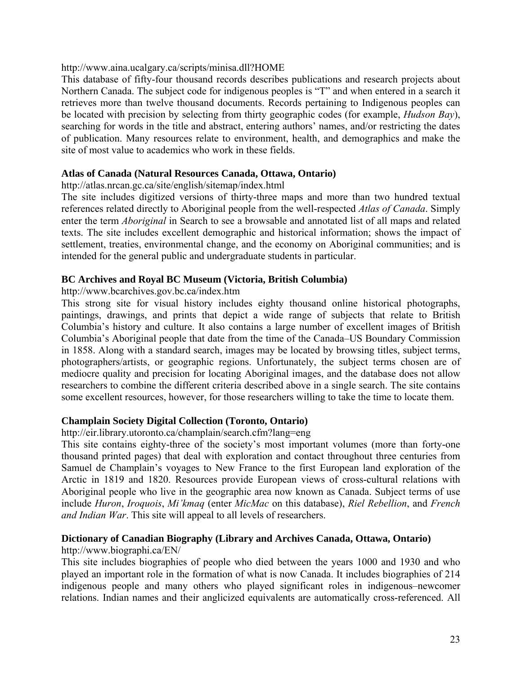http://www.aina.ucalgary.ca/scripts/minisa.dll?HOME

This database of fifty-four thousand records describes publications and research projects about Northern Canada. The subject code for indigenous peoples is "T" and when entered in a search it retrieves more than twelve thousand documents. Records pertaining to Indigenous peoples can be located with precision by selecting from thirty geographic codes (for example, *Hudson Bay*), searching for words in the title and abstract, entering authors' names, and/or restricting the dates of publication. Many resources relate to environment, health, and demographics and make the site of most value to academics who work in these fields.

#### **Atlas of Canada (Natural Resources Canada, Ottawa, Ontario)**

http://atlas.nrcan.gc.ca/site/english/sitemap/index.html

The site includes digitized versions of thirty-three maps and more than two hundred textual references related directly to Aboriginal people from the well-respected *Atlas of Canada*. Simply enter the term *Aboriginal* in Search to see a browsable and annotated list of all maps and related texts. The site includes excellent demographic and historical information; shows the impact of settlement, treaties, environmental change, and the economy on Aboriginal communities; and is intended for the general public and undergraduate students in particular.

## **BC Archives and Royal BC Museum (Victoria, British Columbia)**

http://www.bcarchives.gov.bc.ca/index.htm

This strong site for visual history includes eighty thousand online historical photographs, paintings, drawings, and prints that depict a wide range of subjects that relate to British Columbia's history and culture. It also contains a large number of excellent images of British Columbia's Aboriginal people that date from the time of the Canada–US Boundary Commission in 1858. Along with a standard search, images may be located by browsing titles, subject terms, photographers/artists, or geographic regions. Unfortunately, the subject terms chosen are of mediocre quality and precision for locating Aboriginal images, and the database does not allow researchers to combine the different criteria described above in a single search. The site contains some excellent resources, however, for those researchers willing to take the time to locate them.

#### **[Champlain Society Digital Collection](http://eir.library.utoronto.ca/champlain/search.cfm?lang=eng) (Toronto, Ontario)**

http://eir.library.utoronto.ca/champlain/search.cfm?lang=eng

This site contains eighty-three of the society's most important volumes (more than forty-one thousand printed pages) that deal with exploration and contact throughout three centuries from Samuel de Champlain's voyages to New France to the first European land exploration of the Arctic in 1819 and 1820. Resources provide European views of cross-cultural relations with Aboriginal people who live in the geographic area now known as Canada. Subject terms of use include *Huron*, *Iroquois*, *Mi'kmaq* (enter *MicMac* on this database), *Riel Rebellion*, and *French and Indian War*. This site will appeal to all levels of researchers.

# **Dictionary of Canadian Biography (Library and Archives Canada, Ottawa, Ontario)**

http://www.biographi.ca/EN/

This site includes biographies of people who died between the years 1000 and 1930 and who played an important role in the formation of what is now Canada. It includes biographies of 214 indigenous people and many others who played significant roles in indigenous–newcomer relations. Indian names and their anglicized equivalents are automatically cross-referenced. All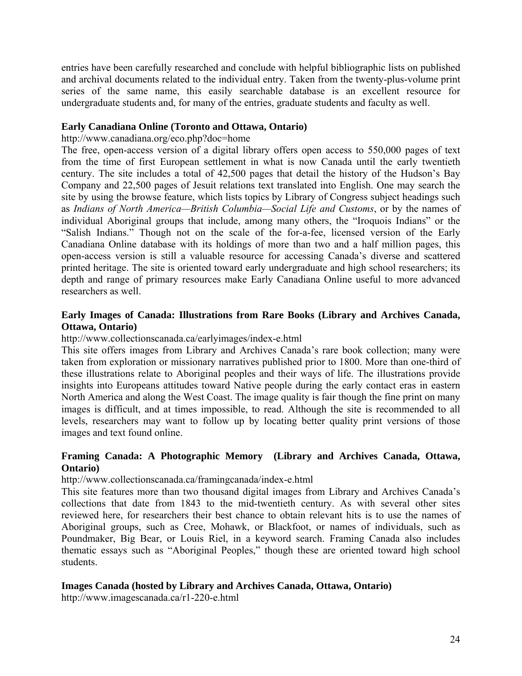entries have been carefully researched and conclude with helpful bibliographic lists on published and archival documents related to the individual entry. Taken from the twenty-plus-volume print series of the same name, this easily searchable database is an excellent resource for undergraduate students and, for many of the entries, graduate students and faculty as well.

#### **[Early Canadiana Online](http://www.canadiana.org/eco.php?doc=home) (Toronto and Ottawa, Ontario)**

#### http://www.canadiana.org/eco.php?doc=home

The free, open-access version of a digital library offers open access to 550,000 pages of text from the time of first European settlement in what is now Canada until the early twentieth century. The site includes a total of 42,500 pages that detail the history of the Hudson's Bay Company and 22,500 pages of Jesuit relations text translated into English. One may search the site by using the browse feature, which lists topics by Library of Congress subject headings such as *Indians of North America—British Columbia—Social Life and Customs*, or by the names of individual Aboriginal groups that include, among many others, the "Iroquois Indians" or the "Salish Indians." Though not on the scale of the for-a-fee, licensed version of the Early Canadiana Online database with its holdings of more than two and a half million pages, this open-access version is still a valuable resource for accessing Canada's diverse and scattered printed heritage. The site is oriented toward early undergraduate and high school researchers; its depth and range of primary resources make Early Canadiana Online useful to more advanced researchers as well.

## **Early Images of Canada: Illustrations from Rare Books (Library and Archives Canada, Ottawa, Ontario)**

#### http://www.collectionscanada.ca/earlyimages/index-e.html

This site offers images from Library and Archives Canada's rare book collection; many were taken from exploration or missionary narratives published prior to 1800. More than one-third of these illustrations relate to Aboriginal peoples and their ways of life. The illustrations provide insights into Europeans attitudes toward Native people during the early contact eras in eastern North America and along the West Coast. The image quality is fair though the fine print on many images is difficult, and at times impossible, to read. Although the site is recommended to all levels, researchers may want to follow up by locating better quality print versions of those images and text found online.

#### **Framing Canada: A Photographic Memory (Library and Archives Canada, Ottawa, Ontario)**

#### http://www.collectionscanada.ca/framingcanada/index-e.html

This site features more than two thousand digital images from Library and Archives Canada's collections that date from 1843 to the mid-twentieth century. As with several other sites reviewed here, for researchers their best chance to obtain relevant hits is to use the names of Aboriginal groups, such as Cree, Mohawk, or Blackfoot, or names of individuals, such as Poundmaker, Big Bear, or Louis Riel, in a keyword search. Framing Canada also includes thematic essays such as "Aboriginal Peoples," though these are oriented toward high school students.

#### **[Images Canada](http://www.imagescanada.ca/r1-220-e.html) (hosted by Library and Archives Canada, Ottawa, Ontario)**

http://www.imagescanada.ca/r1-220-e.html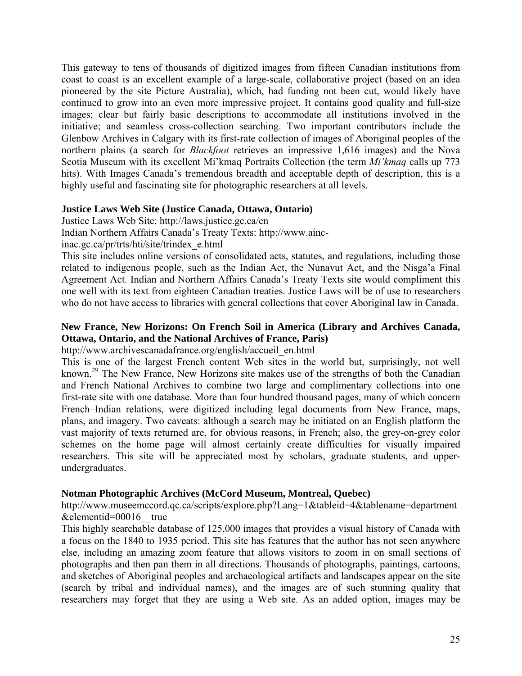This gateway to tens of thousands of digitized images from fifteen Canadian institutions from coast to coast is an excellent example of a large-scale, collaborative project (based on an idea pioneered by the site Picture Australia), which, had funding not been cut, would likely have continued to grow into an even more impressive project. It contains good quality and full-size images; clear but fairly basic descriptions to accommodate all institutions involved in the initiative; and seamless cross-collection searching. Two important contributors include the Glenbow Archives in Calgary with its first-rate collection of images of Aboriginal peoples of the northern plains (a search for *Blackfoot* retrieves an impressive 1,616 images) and the Nova Scotia Museum with its excellent Mi'kmaq Portraits Collection (the term *Mi'kmaq* calls up 773 hits). With Images Canada's tremendous breadth and acceptable depth of description, this is a highly useful and fascinating site for photographic researchers at all levels.

#### **[Justice Laws Web Site](http://laws.justice.gc.ca/en) (Justice Canada, Ottawa, Ontario)**

Justice Laws Web Site: http://laws.justice.gc.ca/en

Indian Northern Affairs Canada's Treaty Texts: http://www.ainc-

inac.gc.ca/pr/trts/hti/site/trindex\_e.html

This site includes online versions of consolidated acts, statutes, and regulations, including those related to indigenous people, such as the Indian Act, the Nunavut Act, and the Nisga'a Final Agreement Act. Indian and Northern Affairs Canada's Treaty Texts site would compliment this one well with its text from eighteen Canadian treaties. Justice Laws will be of use to researchers who do not have access to libraries with general collections that cover Aboriginal law in Canada.

# **New France, New Horizons: On French Soil in America (Library and Archives Canada, Ottawa, Ontario, and the National Archives of France, Paris)**

http://www.archivescanadafrance.org/english/accueil\_en.html

This is one of the largest French content Web sites in the world but, surprisingly, not well known.<sup>29</sup> The New France, New Horizons site makes use of the strengths of both the Canadian and French National Archives to combine two large and complimentary collections into one first-rate site with one database. More than four hundred thousand pages, many of which concern French–Indian relations, were digitized including legal documents from New France, maps, plans, and imagery. Two caveats: although a search may be initiated on an English platform the vast majority of texts returned are, for obvious reasons, in French; also, the grey-on-grey color schemes on the home page will almost certainly create difficulties for visually impaired researchers. This site will be appreciated most by scholars, graduate students, and upperundergraduates.

# **Notman Photographic Archives (McCord Museum, Montreal, Quebec)**

http://www.museemccord.qc.ca/scripts/explore.php?Lang=1&tableid=4&tablename=department &elementid=00016\_\_true

This highly searchable database of 125,000 images that provides a visual history of Canada with a focus on the 1840 to 1935 period. This site has features that the author has not seen anywhere else, including an amazing zoom feature that allows visitors to zoom in on small sections of photographs and then pan them in all directions. Thousands of photographs, paintings, cartoons, and sketches of Aboriginal peoples and archaeological artifacts and landscapes appear on the site (search by tribal and individual names), and the images are of such stunning quality that researchers may forget that they are using a Web site. As an added option, images may be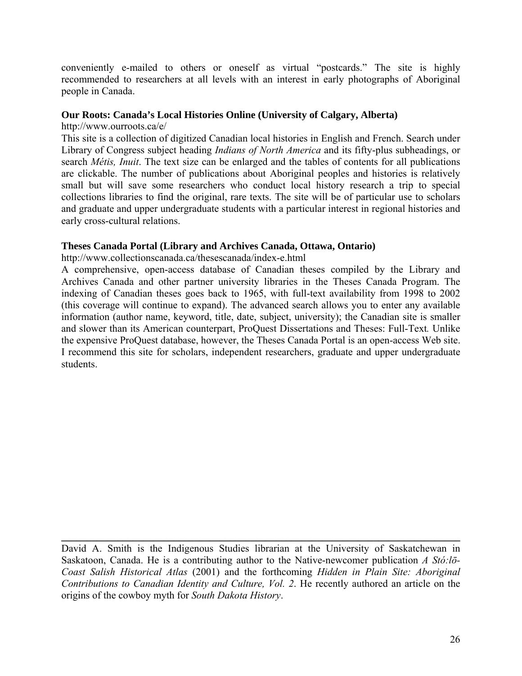conveniently e-mailed to others or oneself as virtual "postcards." The site is highly recommended to researchers at all levels with an interest in early photographs of Aboriginal people in Canada.

## **[Our Roots: Canada's Local Histories Online](http://www.ourroots.ca/e/) (University of Calgary, Alberta)**

http://www.ourroots.ca/e/

This site is a collection of digitized Canadian local histories in English and French. Search under Library of Congress subject heading *Indians of North America* and its fifty-plus subheadings, or search *Métis, Inuit*. The text size can be enlarged and the tables of contents for all publications are clickable. The number of publications about Aboriginal peoples and histories is relatively small but will save some researchers who conduct local history research a trip to special collections libraries to find the original, rare texts. The site will be of particular use to scholars and graduate and upper undergraduate students with a particular interest in regional histories and early cross-cultural relations.

## **[Theses Canada Portal](http://www.collectionscanada.ca/thesescanada/index-e.html) (Library and Archives Canada, Ottawa, Ontario)**

http://www.collectionscanada.ca/thesescanada/index-e.html

A comprehensive, open-access database of Canadian theses compiled by the Library and Archives Canada and other partner university libraries in the Theses Canada Program. The indexing of Canadian theses goes back to 1965, with full-text availability from 1998 to 2002 (this coverage will continue to expand). The advanced search allows you to enter any available information (author name, keyword, title, date, subject, university); the Canadian site is smaller and slower than its American counterpart, ProQuest Dissertations and Theses: Full-Text*.* Unlike the expensive ProQuest database, however, the Theses Canada Portal is an open-access Web site. I recommend this site for scholars, independent researchers, graduate and upper undergraduate students.

**\_\_\_\_\_\_\_\_\_\_\_\_\_\_\_\_\_\_\_\_\_\_\_\_\_\_\_\_\_\_\_\_\_\_\_\_\_\_\_\_\_\_\_\_\_\_\_\_\_\_\_\_\_\_\_\_\_\_\_\_\_\_\_\_\_\_\_\_\_\_\_\_\_\_\_\_\_\_** 

David A. Smith is the Indigenous Studies librarian at the University of Saskatchewan in Saskatoon, Canada. He is a contributing author to the Native-newcomer publication *A Stó:lō-Coast Salish Historical Atlas* (2001) and the forthcoming *Hidden in Plain Site: Aboriginal Contributions to Canadian Identity and Culture, Vol. 2*. He recently authored an article on the origins of the cowboy myth for *South Dakota History*.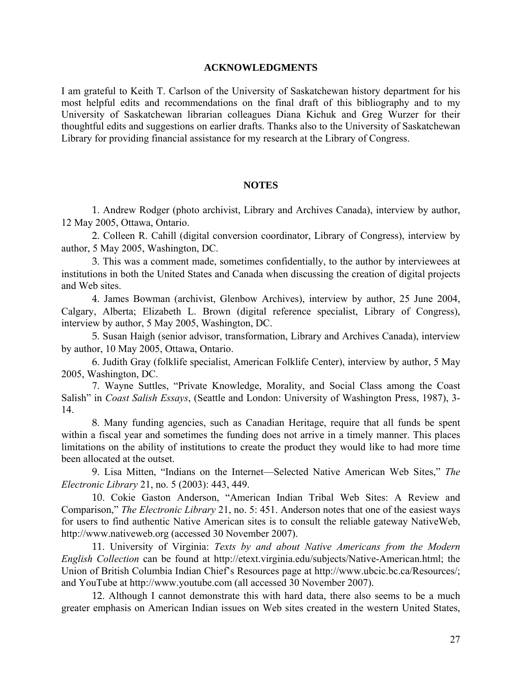#### **ACKNOWLEDGMENTS**

I am grateful to Keith T. Carlson of the University of Saskatchewan history department for his most helpful edits and recommendations on the final draft of this bibliography and to my University of Saskatchewan librarian colleagues Diana Kichuk and Greg Wurzer for their thoughtful edits and suggestions on earlier drafts. Thanks also to the University of Saskatchewan Library for providing financial assistance for my research at the Library of Congress.

#### **NOTES**

1. Andrew Rodger (photo archivist, Library and Archives Canada), interview by author, 12 May 2005, Ottawa, Ontario.

2. Colleen R. Cahill (digital conversion coordinator, Library of Congress), interview by author, 5 May 2005, Washington, DC.

3. This was a comment made, sometimes confidentially, to the author by interviewees at institutions in both the United States and Canada when discussing the creation of digital projects and Web sites.

4. James Bowman (archivist, Glenbow Archives), interview by author, 25 June 2004, Calgary, Alberta; Elizabeth L. Brown (digital reference specialist, Library of Congress), interview by author, 5 May 2005, Washington, DC.

5. Susan Haigh (senior advisor, transformation, Library and Archives Canada), interview by author, 10 May 2005, Ottawa, Ontario.

6. Judith Gray (folklife specialist, American Folklife Center), interview by author, 5 May 2005, Washington, DC.

7. Wayne Suttles, "Private Knowledge, Morality, and Social Class among the Coast Salish" in *Coast Salish Essays*, (Seattle and London: University of Washington Press, 1987), 3- 14.

8. Many funding agencies, such as Canadian Heritage, require that all funds be spent within a fiscal year and sometimes the funding does not arrive in a timely manner. This places limitations on the ability of institutions to create the product they would like to had more time been allocated at the outset.

9. Lisa Mitten, "Indians on the Internet—Selected Native American Web Sites," *The Electronic Library* 21, no. 5 (2003): 443, 449.

10. Cokie Gaston Anderson, "American Indian Tribal Web Sites: A Review and Comparison," *The Electronic Library* 21, no. 5: 451. Anderson notes that one of the easiest ways for users to find authentic Native American sites is to consult the reliable gateway NativeWeb, [http://www.nativeweb.org](http://etext.virginia.edu/subjects/Native-American.html) (accessed 30 November 2007).

11. University of Virginia: *Texts by and about Native Americans from the Modern English Collection* can be found at http://etext.virginia.edu/subjects/Native-American.html; the Union of British Columbia Indian Chief's Resources page at http://www.ubcic.bc.ca/Resources/; and YouTube at http://www.youtube.com (all accessed 30 November 2007).

12. Although I cannot demonstrate this with hard data, there also seems to be a much greater emphasis on American Indian issues on Web sites created in the western United States,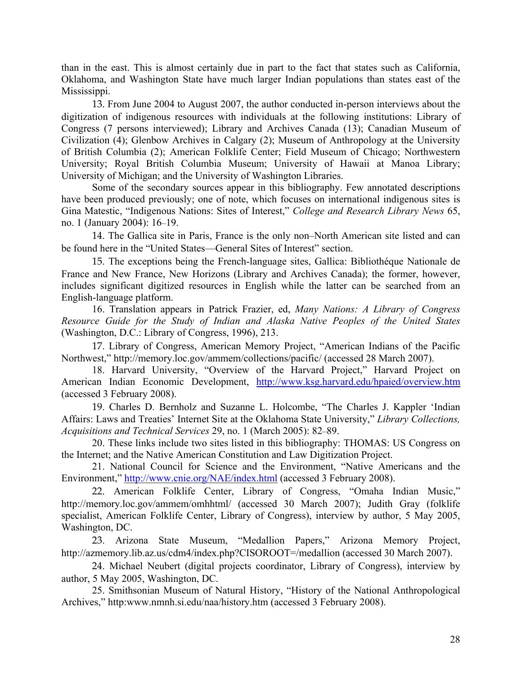than in the east. This is almost certainly due in part to the fact that states such as California, Oklahoma, and Washington State have much larger Indian populations than states east of the Mississippi.

13. From June 2004 to August 2007, the author conducted in-person interviews about the digitization of indigenous resources with individuals at the following institutions: Library of Congress (7 persons interviewed); Library and Archives Canada (13); Canadian Museum of Civilization (4); Glenbow Archives in Calgary (2); Museum of Anthropology at the University of British Columbia (2); American Folklife Center; Field Museum of Chicago; Northwestern University; Royal British Columbia Museum; University of Hawaii at Manoa Library; University of Michigan; and the University of Washington Libraries.

Some of the secondary sources appear in this bibliography. Few annotated descriptions have been produced previously; one of note, which focuses on international indigenous sites is Gina Matestic, "Indigenous Nations: Sites of Interest," *College and Research Library News* 65, no. 1 (January 2004): 16–19.

14. The Gallica site in Paris, France is the only non–North American site listed and can be found here in the "United States—General Sites of Interest" section.

15. The exceptions being the French-language sites, Gallica: Bibliothéque Nationale de France and New France, New Horizons (Library and Archives Canada); the former, however, includes significant digitized resources in English while the latter can be searched from an English-language platform.

16. Translation appears in Patrick Frazier, ed, *Many Nations: A Library of Congress Resource Guide for the Study of Indian and Alaska Native Peoples of the United States*  (Washington, D.C.: Library of Congress, 1996), 213.

17. Library of Congress, American Memory Project, "American Indians of the Pacific Northwest," http://memory.loc.gov/ammem/collections/pacific/ (accessed 28 March 2007).

18. Harvard University, "Overview of the Harvard Project," Harvard Project on American Indian Economic Development, http://www.ksg.harvard.edu/hpaied/overview.htm (accessed 3 February 2008).

19. Charles D. Bernholz and Suzanne L. Holcombe, "The Charles J. Kappler 'Indian Affairs: Laws and Treaties' Internet Site at the Oklahoma State University," *Library Collections, Acquisitions and Technical Services* 29, no. 1 (March 2005): 82–89.

20. These links include two sites listed in this bibliography: THOMAS: US Congress on the Internet; and the Native American Constitution and Law Digitization Project.

21. National Council for Science and the Environment, "Native Americans and the Environment," [http://www.cnie.org/NAE/index.html](http://memory.loc.gov/ammem/omhhtml/) (accessed 3 February 2008).

22. American Folklife Center, Library of Congress, "Omaha Indian Music," http://memory.loc.gov/ammem/omhhtml/ (accessed 30 March 2007); Judith Gray (folklife specialist, American Folklife Center, Library of Congress), interview by author, 5 May 2005, Washington, DC.

23. Arizona State Museum, "Medallion Papers," Arizona Memory Project, http://azmemory.lib.az.us/cdm4/index.php?CISOROOT=/medallion (accessed 30 March 2007).

24. Michael Neubert (digital projects coordinator, Library of Congress), interview by author, 5 May 2005, Washington, DC.

25. Smithsonian Museum of Natural History, "History of the National Anthropological Archives," http:www.nmnh.si.edu/naa/history.htm (accessed 3 February 2008).